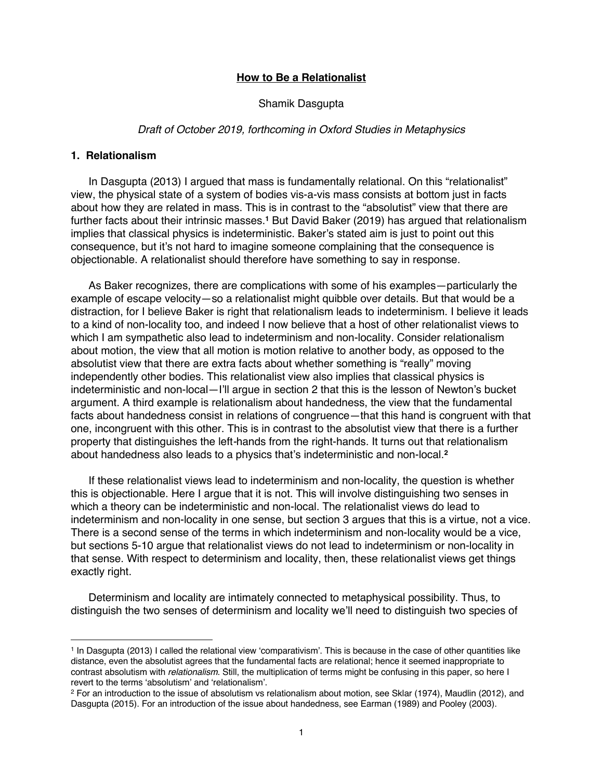## **How to Be a Relationalist**

### Shamik Dasgupta

#### *Draft of October 2019, forthcoming in Oxford Studies in Metaphysics*

### **1. Relationalism**

In Dasgupta (2013) I argued that mass is fundamentally relational. On this "relationalist" view, the physical state of a system of bodies vis-a-vis mass consists at bottom just in facts about how they are related in mass. This is in contrast to the "absolutist" view that there are further facts about their intrinsic masses.**<sup>1</sup>** But David Baker (2019) has argued that relationalism implies that classical physics is indeterministic. Baker's stated aim is just to point out this consequence, but it's not hard to imagine someone complaining that the consequence is objectionable. A relationalist should therefore have something to say in response.

As Baker recognizes, there are complications with some of his examples—particularly the example of escape velocity—so a relationalist might quibble over details. But that would be a distraction, for I believe Baker is right that relationalism leads to indeterminism. I believe it leads to a kind of non-locality too, and indeed I now believe that a host of other relationalist views to which I am sympathetic also lead to indeterminism and non-locality. Consider relationalism about motion, the view that all motion is motion relative to another body, as opposed to the absolutist view that there are extra facts about whether something is "really" moving independently other bodies. This relationalist view also implies that classical physics is indeterministic and non-local—I'll argue in section 2 that this is the lesson of Newton's bucket argument. A third example is relationalism about handedness, the view that the fundamental facts about handedness consist in relations of congruence—that this hand is congruent with that one, incongruent with this other. This is in contrast to the absolutist view that there is a further property that distinguishes the left*-*hands from the right-hands. It turns out that relationalism about handedness also leads to a physics that's indeterministic and non-local.**<sup>2</sup>**

If these relationalist views lead to indeterminism and non-locality, the question is whether this is objectionable. Here I argue that it is not. This will involve distinguishing two senses in which a theory can be indeterministic and non-local. The relationalist views do lead to indeterminism and non-locality in one sense, but section 3 argues that this is a virtue, not a vice. There is a second sense of the terms in which indeterminism and non-locality would be a vice, but sections 5-10 argue that relationalist views do not lead to indeterminism or non-locality in that sense. With respect to determinism and locality, then, these relationalist views get things exactly right.

Determinism and locality are intimately connected to metaphysical possibility. Thus, to distinguish the two senses of determinism and locality we'll need to distinguish two species of

<sup>1</sup> In Dasgupta (2013) I called the relational view 'comparativism'. This is because in the case of other quantities like distance, even the absolutist agrees that the fundamental facts are relational; hence it seemed inappropriate to contrast absolutism with *relationalism*. Still, the multiplication of terms might be confusing in this paper, so here I revert to the terms 'absolutism' and 'relationalism'.

<sup>2</sup> For an introduction to the issue of absolutism vs relationalism about motion, see Sklar (1974), Maudlin (2012), and Dasgupta (2015). For an introduction of the issue about handedness, see Earman (1989) and Pooley (2003).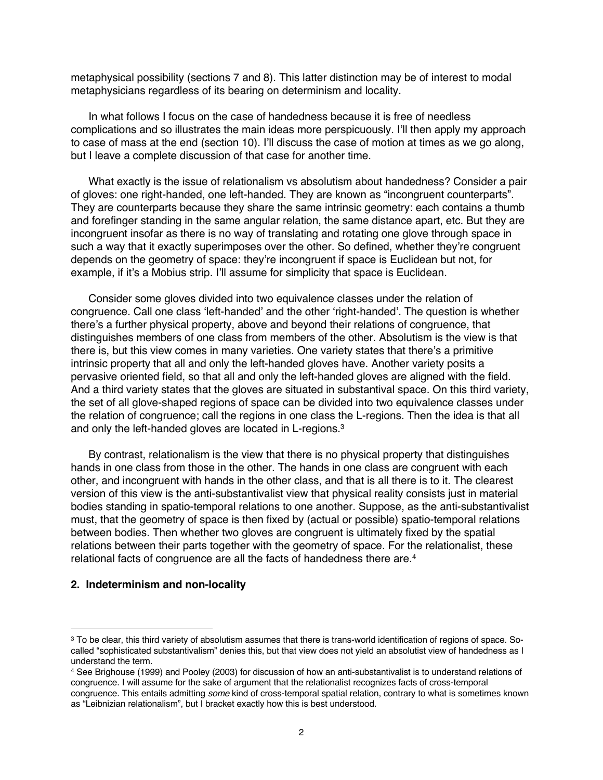metaphysical possibility (sections 7 and 8). This latter distinction may be of interest to modal metaphysicians regardless of its bearing on determinism and locality.

In what follows I focus on the case of handedness because it is free of needless complications and so illustrates the main ideas more perspicuously. I'll then apply my approach to case of mass at the end (section 10). I'll discuss the case of motion at times as we go along, but I leave a complete discussion of that case for another time.

What exactly is the issue of relationalism vs absolutism about handedness? Consider a pair of gloves: one right-handed, one left-handed. They are known as "incongruent counterparts". They are counterparts because they share the same intrinsic geometry: each contains a thumb and forefinger standing in the same angular relation, the same distance apart, etc. But they are incongruent insofar as there is no way of translating and rotating one glove through space in such a way that it exactly superimposes over the other. So defined, whether they're congruent depends on the geometry of space: they're incongruent if space is Euclidean but not, for example, if it's a Mobius strip. I'll assume for simplicity that space is Euclidean.

Consider some gloves divided into two equivalence classes under the relation of congruence. Call one class 'left-handed' and the other 'right-handed'. The question is whether there's a further physical property, above and beyond their relations of congruence, that distinguishes members of one class from members of the other. Absolutism is the view is that there is, but this view comes in many varieties. One variety states that there's a primitive intrinsic property that all and only the left-handed gloves have. Another variety posits a pervasive oriented field, so that all and only the left-handed gloves are aligned with the field. And a third variety states that the gloves are situated in substantival space. On this third variety, the set of all glove-shaped regions of space can be divided into two equivalence classes under the relation of congruence; call the regions in one class the L-regions. Then the idea is that all and only the left-handed gloves are located in L-regions.3

By contrast, relationalism is the view that there is no physical property that distinguishes hands in one class from those in the other. The hands in one class are congruent with each other, and incongruent with hands in the other class, and that is all there is to it. The clearest version of this view is the anti-substantivalist view that physical reality consists just in material bodies standing in spatio-temporal relations to one another. Suppose, as the anti-substantivalist must, that the geometry of space is then fixed by (actual or possible) spatio-temporal relations between bodies. Then whether two gloves are congruent is ultimately fixed by the spatial relations between their parts together with the geometry of space. For the relationalist, these relational facts of congruence are all the facts of handedness there are.4

## **2. Indeterminism and non-locality**

<sup>3</sup> To be clear, this third variety of absolutism assumes that there is trans-world identification of regions of space. Socalled "sophisticated substantivalism" denies this, but that view does not yield an absolutist view of handedness as I understand the term.

<sup>4</sup> See Brighouse (1999) and Pooley (2003) for discussion of how an anti-substantivalist is to understand relations of congruence. I will assume for the sake of argument that the relationalist recognizes facts of cross-temporal congruence. This entails admitting *some* kind of cross-temporal spatial relation, contrary to what is sometimes known as "Leibnizian relationalism", but I bracket exactly how this is best understood.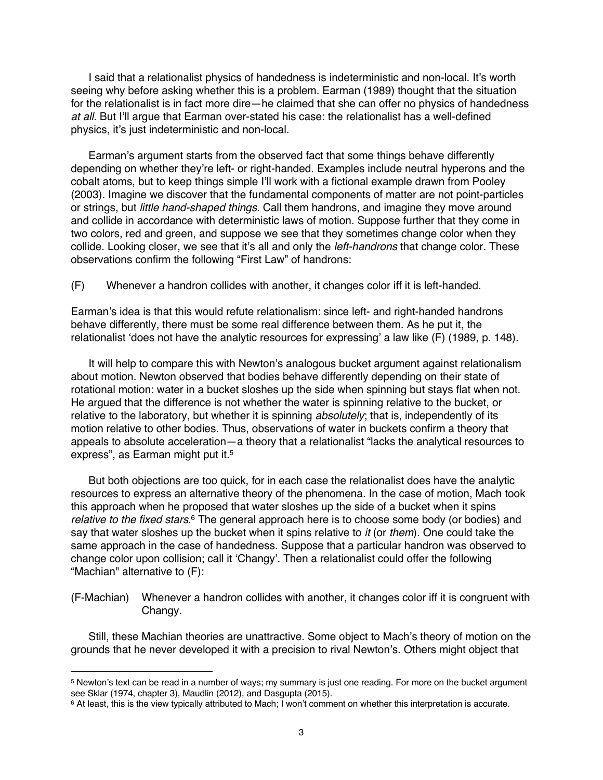I said that a relationalist physics of handedness is indeterministic and non-local. It's worth seeing why before asking whether this is a problem. Earman (1989) thought that the situation for the relationalist is in fact more dire—he claimed that she can offer no physics of handedness *at all*. But I'll argue that Earman over-stated his case: the relationalist has a well-defined physics, it's just indeterministic and non-local.

Earman's argument starts from the observed fact that some things behave differently depending on whether they're left- or right-handed. Examples include neutral hyperons and the cobalt atoms, but to keep things simple I'll work with a fictional example drawn from Pooley (2003). Imagine we discover that the fundamental components of matter are not point-particles or strings, but *little hand-shaped things*. Call them handrons, and imagine they move around and collide in accordance with deterministic laws of motion. Suppose further that they come in two colors, red and green, and suppose we see that they sometimes change color when they collide. Looking closer, we see that it's all and only the *left-handrons* that change color. These observations confirm the following "First Law" of handrons:

(F) Whenever a handron collides with another, it changes color iff it is left-handed.

Earman's idea is that this would refute relationalism: since left- and right-handed handrons behave differently, there must be some real difference between them. As he put it, the relationalist 'does not have the analytic resources for expressing' a law like (F) (1989, p. 148).

It will help to compare this with Newton's analogous bucket argument against relationalism about motion. Newton observed that bodies behave differently depending on their state of rotational motion: water in a bucket sloshes up the side when spinning but stays flat when not. He argued that the difference is not whether the water is spinning relative to the bucket, or relative to the laboratory, but whether it is spinning *absolutely*; that is, independently of its motion relative to other bodies. Thus, observations of water in buckets confirm a theory that appeals to absolute acceleration—a theory that a relationalist "lacks the analytical resources to express", as Earman might put it.<sup>5</sup>

But both objections are too quick, for in each case the relationalist does have the analytic resources to express an alternative theory of the phenomena. In the case of motion, Mach took this approach when he proposed that water sloshes up the side of a bucket when it spins relative to the fixed stars.<sup>6</sup> The general approach here is to choose some body (or bodies) and say that water sloshes up the bucket when it spins relative to *it* (or *them*). One could take the same approach in the case of handedness. Suppose that a particular handron was observed to change color upon collision; call it 'Changy'. Then a relationalist could offer the following "Machian" alternative to (F):

(F-Machian) Whenever a handron collides with another, it changes color iff it is congruent with Changy.

Still, these Machian theories are unattractive. Some object to Mach's theory of motion on the grounds that he never developed it with a precision to rival Newton's. Others might object that

<sup>5</sup> Newton's text can be read in a number of ways; my summary is just one reading. For more on the bucket argument see Sklar (1974, chapter 3), Maudlin (2012), and Dasgupta (2015).

<sup>6</sup> At least, this is the view typically attributed to Mach; I won't comment on whether this interpretation is accurate.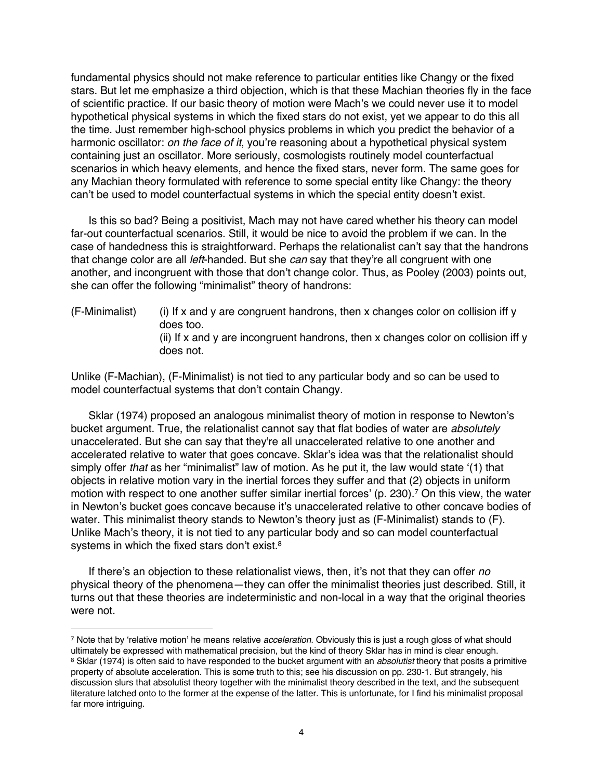fundamental physics should not make reference to particular entities like Changy or the fixed stars. But let me emphasize a third objection, which is that these Machian theories fly in the face of scientific practice. If our basic theory of motion were Mach's we could never use it to model hypothetical physical systems in which the fixed stars do not exist, yet we appear to do this all the time. Just remember high-school physics problems in which you predict the behavior of a harmonic oscillator: *on the face of it*, you're reasoning about a hypothetical physical system containing just an oscillator. More seriously, cosmologists routinely model counterfactual scenarios in which heavy elements, and hence the fixed stars, never form. The same goes for any Machian theory formulated with reference to some special entity like Changy: the theory can't be used to model counterfactual systems in which the special entity doesn't exist.

Is this so bad? Being a positivist, Mach may not have cared whether his theory can model far-out counterfactual scenarios. Still, it would be nice to avoid the problem if we can. In the case of handedness this is straightforward. Perhaps the relationalist can't say that the handrons that change color are all *left*-handed. But she *can* say that they're all congruent with one another, and incongruent with those that don't change color. Thus, as Pooley (2003) points out, she can offer the following "minimalist" theory of handrons:

 $(F\text{-}Minimalist)$  (i) If x and y are congruent handrons, then x changes color on collision iff y does too. (ii) If x and y are incongruent handrons, then x changes color on collision iff  $y$ does not.

Unlike (F-Machian), (F-Minimalist) is not tied to any particular body and so can be used to model counterfactual systems that don't contain Changy.

Sklar (1974) proposed an analogous minimalist theory of motion in response to Newton's bucket argument. True, the relationalist cannot say that flat bodies of water are *absolutely* unaccelerated. But she can say that they're all unaccelerated relative to one another and accelerated relative to water that goes concave. Sklar's idea was that the relationalist should simply offer *that* as her "minimalist" law of motion. As he put it, the law would state '(1) that objects in relative motion vary in the inertial forces they suffer and that (2) objects in uniform motion with respect to one another suffer similar inertial forces' (p. 230).7 On this view, the water in Newton's bucket goes concave because it's unaccelerated relative to other concave bodies of water. This minimalist theory stands to Newton's theory just as (F-Minimalist) stands to (F). Unlike Mach's theory, it is not tied to any particular body and so can model counterfactual systems in which the fixed stars don't exist.<sup>8</sup>

If there's an objection to these relationalist views, then, it's not that they can offer *no* physical theory of the phenomena—they can offer the minimalist theories just described. Still, it turns out that these theories are indeterministic and non-local in a way that the original theories were not.

<sup>7</sup> Note that by 'relative motion' he means relative *acceleration*. Obviously this is just a rough gloss of what should ultimately be expressed with mathematical precision, but the kind of theory Sklar has in mind is clear enough. <sup>8</sup> Sklar (1974) is often said to have responded to the bucket argument with an *absolutist* theory that posits a primitive property of absolute acceleration. This is some truth to this; see his discussion on pp. 230-1. But strangely, his discussion slurs that absolutist theory together with the minimalist theory described in the text, and the subsequent literature latched onto to the former at the expense of the latter. This is unfortunate, for I find his minimalist proposal far more intriguing.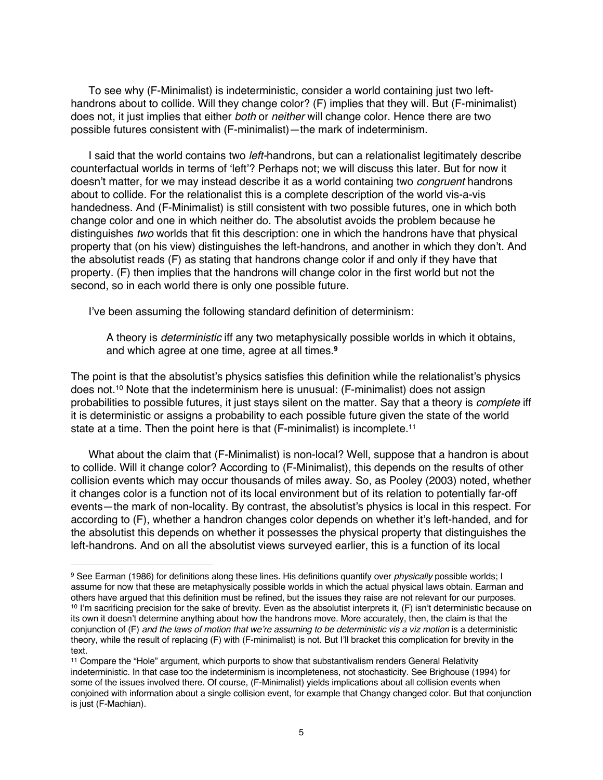To see why (F-Minimalist) is indeterministic, consider a world containing just two lefthandrons about to collide. Will they change color? (F) implies that they will. But (F-minimalist) does not, it just implies that either *both* or *neither* will change color. Hence there are two possible futures consistent with (F-minimalist)—the mark of indeterminism.

I said that the world contains two *left-*handrons, but can a relationalist legitimately describe counterfactual worlds in terms of 'left'? Perhaps not; we will discuss this later. But for now it doesn't matter, for we may instead describe it as a world containing two *congruent* handrons about to collide. For the relationalist this is a complete description of the world vis-a-vis handedness. And (F-Minimalist) is still consistent with two possible futures, one in which both change color and one in which neither do. The absolutist avoids the problem because he distinguishes *two* worlds that fit this description: one in which the handrons have that physical property that (on his view) distinguishes the left-handrons, and another in which they don't. And the absolutist reads (F) as stating that handrons change color if and only if they have that property. (F) then implies that the handrons will change color in the first world but not the second, so in each world there is only one possible future.

I've been assuming the following standard definition of determinism:

A theory is *deterministic* iff any two metaphysically possible worlds in which it obtains, and which agree at one time, agree at all times.**<sup>9</sup>**

The point is that the absolutist's physics satisfies this definition while the relationalist's physics does not.10 Note that the indeterminism here is unusual: (F-minimalist) does not assign probabilities to possible futures, it just stays silent on the matter. Say that a theory is *complete* iff it is deterministic or assigns a probability to each possible future given the state of the world state at a time. Then the point here is that (F-minimalist) is incomplete.<sup>11</sup>

What about the claim that (F-Minimalist) is non-local? Well, suppose that a handron is about to collide. Will it change color? According to (F-Minimalist), this depends on the results of other collision events which may occur thousands of miles away. So, as Pooley (2003) noted, whether it changes color is a function not of its local environment but of its relation to potentially far-off events—the mark of non-locality. By contrast, the absolutist's physics is local in this respect. For according to (F), whether a handron changes color depends on whether it's left-handed, and for the absolutist this depends on whether it possesses the physical property that distinguishes the left-handrons. And on all the absolutist views surveyed earlier, this is a function of its local

<sup>9</sup> See Earman (1986) for definitions along these lines. His definitions quantify over *physically* possible worlds; I assume for now that these are metaphysically possible worlds in which the actual physical laws obtain. Earman and others have argued that this definition must be refined, but the issues they raise are not relevant for our purposes. <sup>10</sup> I'm sacrificing precision for the sake of brevity. Even as the absolutist interprets it, (F) isn't deterministic because on its own it doesn't determine anything about how the handrons move. More accurately, then, the claim is that the conjunction of (F) *and the laws of motion that we're assuming to be deterministic vis a viz motion* is a deterministic theory, while the result of replacing (F) with (F-minimalist) is not. But I'll bracket this complication for brevity in the text.

<sup>11</sup> Compare the "Hole" argument, which purports to show that substantivalism renders General Relativity indeterministic. In that case too the indeterminism is incompleteness, not stochasticity. See Brighouse (1994) for some of the issues involved there. Of course, (F-Minimalist) yields implications about all collision events when conjoined with information about a single collision event, for example that Changy changed color. But that conjunction is just (F-Machian).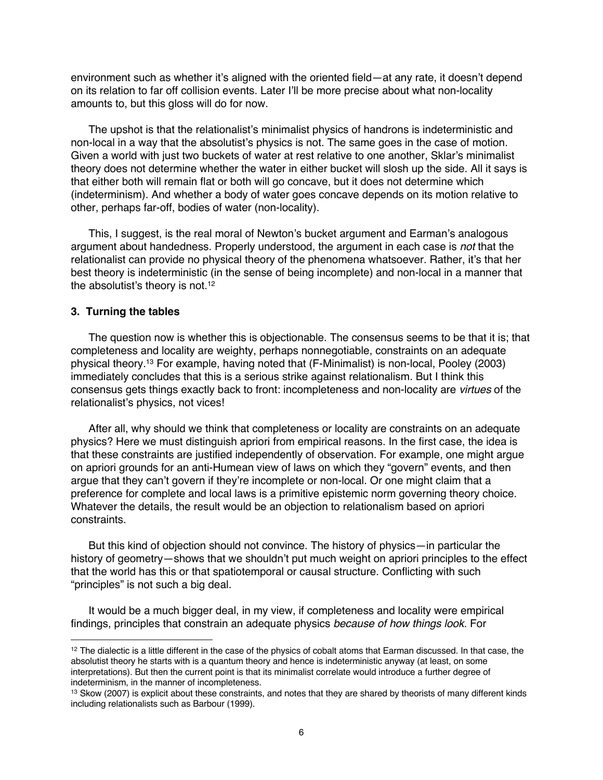environment such as whether it's aligned with the oriented field—at any rate, it doesn't depend on its relation to far off collision events. Later I'll be more precise about what non-locality amounts to, but this gloss will do for now.

The upshot is that the relationalist's minimalist physics of handrons is indeterministic and non-local in a way that the absolutist's physics is not. The same goes in the case of motion. Given a world with just two buckets of water at rest relative to one another, Sklar's minimalist theory does not determine whether the water in either bucket will slosh up the side. All it says is that either both will remain flat or both will go concave, but it does not determine which (indeterminism). And whether a body of water goes concave depends on its motion relative to other, perhaps far-off, bodies of water (non-locality).

This, I suggest, is the real moral of Newton's bucket argument and Earman's analogous argument about handedness. Properly understood, the argument in each case is *not* that the relationalist can provide no physical theory of the phenomena whatsoever. Rather, it's that her best theory is indeterministic (in the sense of being incomplete) and non-local in a manner that the absolutist's theory is not.12

## **3. Turning the tables**

The question now is whether this is objectionable. The consensus seems to be that it is; that completeness and locality are weighty, perhaps nonnegotiable, constraints on an adequate physical theory.13 For example, having noted that (F-Minimalist) is non-local, Pooley (2003) immediately concludes that this is a serious strike against relationalism. But I think this consensus gets things exactly back to front: incompleteness and non-locality are *virtues* of the relationalist's physics, not vices!

After all, why should we think that completeness or locality are constraints on an adequate physics? Here we must distinguish apriori from empirical reasons. In the first case, the idea is that these constraints are justified independently of observation. For example, one might argue on apriori grounds for an anti-Humean view of laws on which they "govern" events, and then argue that they can't govern if they're incomplete or non-local. Or one might claim that a preference for complete and local laws is a primitive epistemic norm governing theory choice. Whatever the details, the result would be an objection to relationalism based on apriori constraints.

But this kind of objection should not convince. The history of physics—in particular the history of geometry—shows that we shouldn't put much weight on apriori principles to the effect that the world has this or that spatiotemporal or causal structure. Conflicting with such "principles" is not such a big deal.

It would be a much bigger deal, in my view, if completeness and locality were empirical findings, principles that constrain an adequate physics *because of how things look*. For

<sup>&</sup>lt;sup>12</sup> The dialectic is a little different in the case of the physics of cobalt atoms that Earman discussed. In that case, the absolutist theory he starts with is a quantum theory and hence is indeterministic anyway (at least, on some interpretations). But then the current point is that its minimalist correlate would introduce a further degree of indeterminism, in the manner of incompleteness.

<sup>13</sup> Skow (2007) is explicit about these constraints, and notes that they are shared by theorists of many different kinds including relationalists such as Barbour (1999).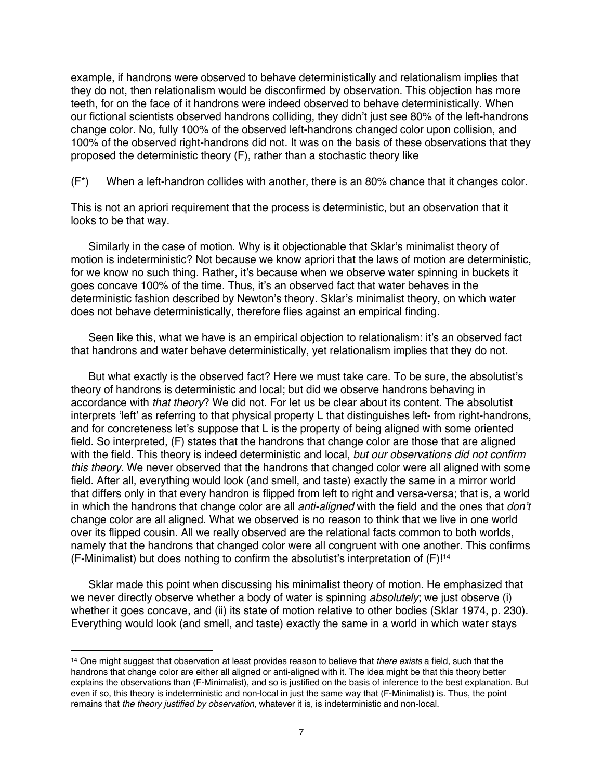example, if handrons were observed to behave deterministically and relationalism implies that they do not, then relationalism would be disconfirmed by observation. This objection has more teeth, for on the face of it handrons were indeed observed to behave deterministically. When our fictional scientists observed handrons colliding, they didn't just see 80% of the left-handrons change color. No, fully 100% of the observed left-handrons changed color upon collision, and 100% of the observed right-handrons did not. It was on the basis of these observations that they proposed the deterministic theory (F), rather than a stochastic theory like

(F\*) When a left-handron collides with another, there is an 80% chance that it changes color.

This is not an apriori requirement that the process is deterministic, but an observation that it looks to be that way.

Similarly in the case of motion. Why is it objectionable that Sklar's minimalist theory of motion is indeterministic? Not because we know apriori that the laws of motion are deterministic, for we know no such thing. Rather, it's because when we observe water spinning in buckets it goes concave 100% of the time. Thus, it's an observed fact that water behaves in the deterministic fashion described by Newton's theory. Sklar's minimalist theory, on which water does not behave deterministically, therefore flies against an empirical finding.

Seen like this, what we have is an empirical objection to relationalism: it's an observed fact that handrons and water behave deterministically, yet relationalism implies that they do not.

But what exactly is the observed fact? Here we must take care. To be sure, the absolutist's theory of handrons is deterministic and local; but did we observe handrons behaving in accordance with *that theory*? We did not. For let us be clear about its content. The absolutist interprets 'left' as referring to that physical property L that distinguishes left- from right-handrons, and for concreteness let's suppose that L is the property of being aligned with some oriented field. So interpreted, (F) states that the handrons that change color are those that are aligned with the field. This theory is indeed deterministic and local, *but our observations did not confirm this theory*. We never observed that the handrons that changed color were all aligned with some field. After all, everything would look (and smell, and taste) exactly the same in a mirror world that differs only in that every handron is flipped from left to right and versa-versa; that is, a world in which the handrons that change color are all *anti-aligned* with the field and the ones that *don't* change color are all aligned. What we observed is no reason to think that we live in one world over its flipped cousin. All we really observed are the relational facts common to both worlds, namely that the handrons that changed color were all congruent with one another. This confirms (F-Minimalist) but does nothing to confirm the absolutist's interpretation of  $(F)$ <sup>[14</sup>]

Sklar made this point when discussing his minimalist theory of motion. He emphasized that we never directly observe whether a body of water is spinning *absolutely*; we just observe (i) whether it goes concave, and (ii) its state of motion relative to other bodies (Sklar 1974, p. 230). Everything would look (and smell, and taste) exactly the same in a world in which water stays

<sup>14</sup> One might suggest that observation at least provides reason to believe that *there exists* a field, such that the handrons that change color are either all aligned or anti-aligned with it. The idea might be that this theory better explains the observations than (F-Minimalist), and so is justified on the basis of inference to the best explanation. But even if so, this theory is indeterministic and non-local in just the same way that (F-Minimalist) is. Thus, the point remains that *the theory justified by observation*, whatever it is, is indeterministic and non-local.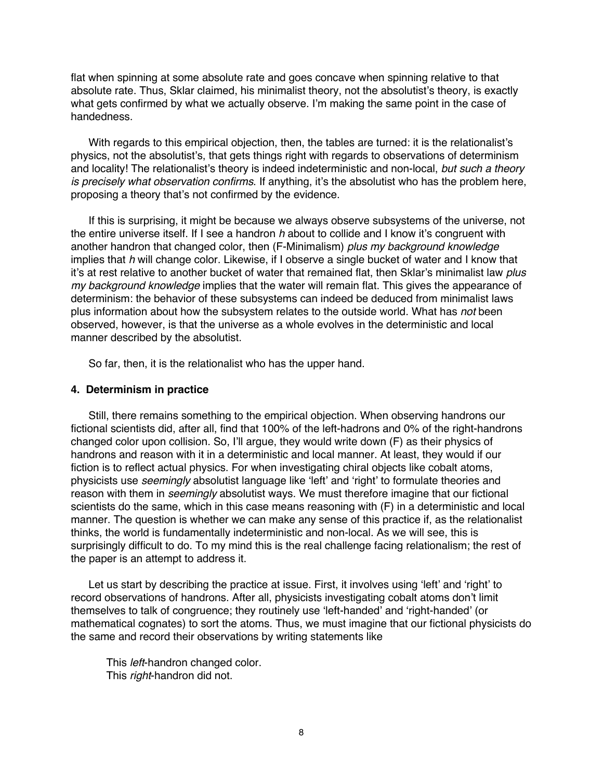flat when spinning at some absolute rate and goes concave when spinning relative to that absolute rate. Thus, Sklar claimed, his minimalist theory, not the absolutist's theory, is exactly what gets confirmed by what we actually observe. I'm making the same point in the case of handedness.

With regards to this empirical objection, then, the tables are turned: it is the relationalist's physics, not the absolutist's, that gets things right with regards to observations of determinism and locality! The relationalist's theory is indeed indeterministic and non-local, *but such a theory is precisely what observation confirms*. If anything, it's the absolutist who has the problem here, proposing a theory that's not confirmed by the evidence.

If this is surprising, it might be because we always observe subsystems of the universe, not the entire universe itself. If I see a handron *h* about to collide and I know it's congruent with another handron that changed color, then (F-Minimalism) *plus my background knowledge* implies that *h* will change color. Likewise, if I observe a single bucket of water and I know that it's at rest relative to another bucket of water that remained flat, then Sklar's minimalist law *plus my background knowledge* implies that the water will remain flat. This gives the appearance of determinism: the behavior of these subsystems can indeed be deduced from minimalist laws plus information about how the subsystem relates to the outside world. What has *not* been observed, however, is that the universe as a whole evolves in the deterministic and local manner described by the absolutist.

So far, then, it is the relationalist who has the upper hand.

## **4. Determinism in practice**

Still, there remains something to the empirical objection. When observing handrons our fictional scientists did, after all, find that 100% of the left-hadrons and 0% of the right-handrons changed color upon collision. So, I'll argue, they would write down (F) as their physics of handrons and reason with it in a deterministic and local manner. At least, they would if our fiction is to reflect actual physics. For when investigating chiral objects like cobalt atoms, physicists use *seemingly* absolutist language like 'left' and 'right' to formulate theories and reason with them in *seemingly* absolutist ways. We must therefore imagine that our fictional scientists do the same, which in this case means reasoning with (F) in a deterministic and local manner. The question is whether we can make any sense of this practice if, as the relationalist thinks, the world is fundamentally indeterministic and non-local. As we will see, this is surprisingly difficult to do. To my mind this is the real challenge facing relationalism; the rest of the paper is an attempt to address it.

Let us start by describing the practice at issue. First, it involves using 'left' and 'right' to record observations of handrons. After all, physicists investigating cobalt atoms don't limit themselves to talk of congruence; they routinely use 'left-handed' and 'right-handed' (or mathematical cognates) to sort the atoms. Thus, we must imagine that our fictional physicists do the same and record their observations by writing statements like

This *left*-handron changed color. This *right*-handron did not.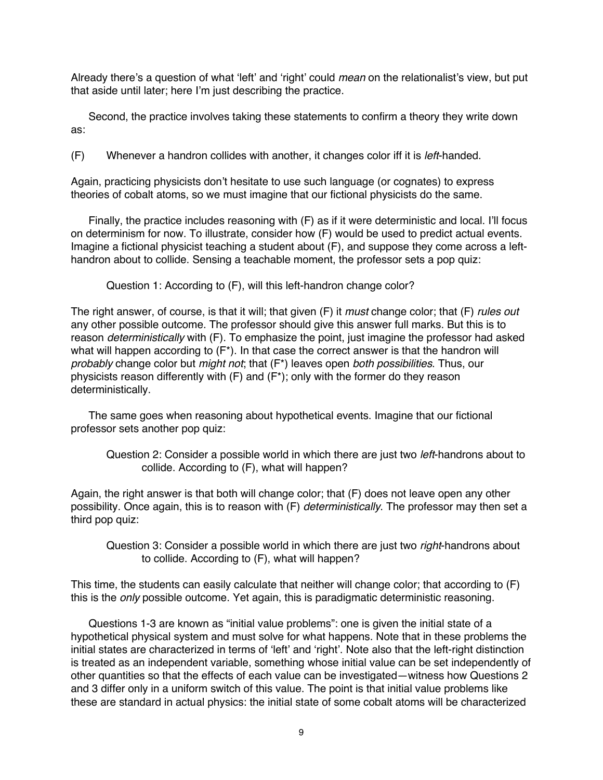Already there's a question of what 'left' and 'right' could *mean* on the relationalist's view, but put that aside until later; here I'm just describing the practice.

Second, the practice involves taking these statements to confirm a theory they write down as:

(F) Whenever a handron collides with another, it changes color iff it is *left*-handed.

Again, practicing physicists don't hesitate to use such language (or cognates) to express theories of cobalt atoms, so we must imagine that our fictional physicists do the same.

Finally, the practice includes reasoning with (F) as if it were deterministic and local. I'll focus on determinism for now. To illustrate, consider how (F) would be used to predict actual events. Imagine a fictional physicist teaching a student about (F), and suppose they come across a lefthandron about to collide. Sensing a teachable moment, the professor sets a pop quiz:

Question 1: According to (F), will this left-handron change color?

The right answer, of course, is that it will; that given (F) it *must* change color; that (F) *rules out* any other possible outcome. The professor should give this answer full marks. But this is to reason *deterministically* with (F). To emphasize the point, just imagine the professor had asked what will happen according to (F<sup>\*</sup>). In that case the correct answer is that the handron will *probably* change color but *might not*; that (F\*) leaves open *both possibilities*. Thus, our physicists reason differently with (F) and (F\*); only with the former do they reason deterministically.

The same goes when reasoning about hypothetical events. Imagine that our fictional professor sets another pop quiz:

Question 2: Consider a possible world in which there are just two *left*-handrons about to collide. According to (F), what will happen?

Again, the right answer is that both will change color; that (F) does not leave open any other possibility. Once again, this is to reason with (F) *deterministically*. The professor may then set a third pop quiz:

Question 3: Consider a possible world in which there are just two *right*-handrons about to collide. According to (F), what will happen?

This time, the students can easily calculate that neither will change color; that according to (F) this is the *only* possible outcome. Yet again, this is paradigmatic deterministic reasoning.

Questions 1-3 are known as "initial value problems": one is given the initial state of a hypothetical physical system and must solve for what happens. Note that in these problems the initial states are characterized in terms of 'left' and 'right'. Note also that the left-right distinction is treated as an independent variable, something whose initial value can be set independently of other quantities so that the effects of each value can be investigated—witness how Questions 2 and 3 differ only in a uniform switch of this value. The point is that initial value problems like these are standard in actual physics: the initial state of some cobalt atoms will be characterized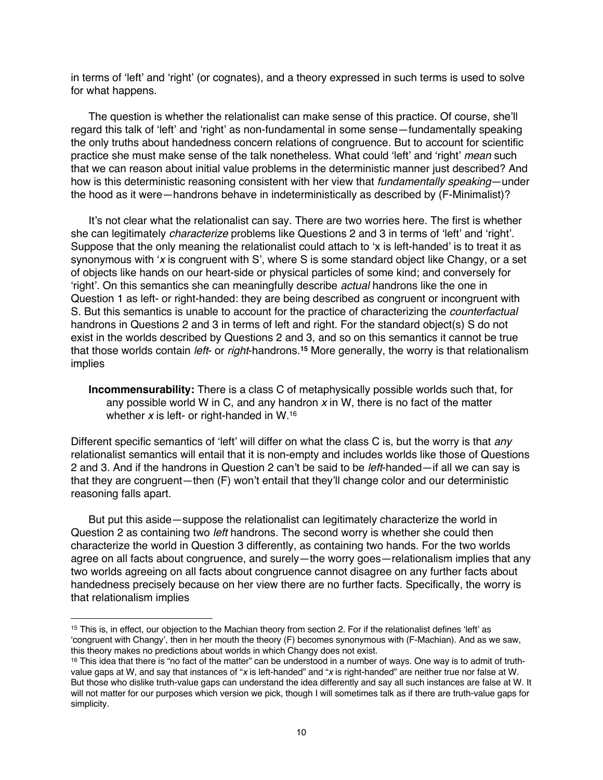in terms of 'left' and 'right' (or cognates), and a theory expressed in such terms is used to solve for what happens.

The question is whether the relationalist can make sense of this practice. Of course, she'll regard this talk of 'left' and 'right' as non-fundamental in some sense—fundamentally speaking the only truths about handedness concern relations of congruence. But to account for scientific practice she must make sense of the talk nonetheless. What could 'left' and 'right' *mean* such that we can reason about initial value problems in the deterministic manner just described? And how is this deterministic reasoning consistent with her view that *fundamentally speaking*—under the hood as it were—handrons behave in indeterministically as described by (F-Minimalist)?

It's not clear what the relationalist can say. There are two worries here. The first is whether she can legitimately *characterize* problems like Questions 2 and 3 in terms of 'left' and 'right'. Suppose that the only meaning the relationalist could attach to 'x is left-handed' is to treat it as synonymous with '*x* is congruent with S', where S is some standard object like Changy, or a set of objects like hands on our heart-side or physical particles of some kind; and conversely for 'right'. On this semantics she can meaningfully describe *actual* handrons like the one in Question 1 as left- or right-handed: they are being described as congruent or incongruent with S. But this semantics is unable to account for the practice of characterizing the *counterfactual* handrons in Questions 2 and 3 in terms of left and right. For the standard object(s) S do not exist in the worlds described by Questions 2 and 3, and so on this semantics it cannot be true that those worlds contain *left*- or *right*-handrons.**<sup>15</sup>** More generally, the worry is that relationalism implies

**Incommensurability:** There is a class C of metaphysically possible worlds such that, for any possible world W in C, and any handron *x* in W, there is no fact of the matter whether *x* is left- or right-handed in W.<sup>16</sup>

Different specific semantics of 'left' will differ on what the class C is, but the worry is that *any* relationalist semantics will entail that it is non-empty and includes worlds like those of Questions 2 and 3. And if the handrons in Question 2 can't be said to be *left*-handed—if all we can say is that they are congruent—then (F) won't entail that they'll change color and our deterministic reasoning falls apart.

But put this aside—suppose the relationalist can legitimately characterize the world in Question 2 as containing two *left* handrons. The second worry is whether she could then characterize the world in Question 3 differently, as containing two hands. For the two worlds agree on all facts about congruence, and surely—the worry goes—relationalism implies that any two worlds agreeing on all facts about congruence cannot disagree on any further facts about handedness precisely because on her view there are no further facts. Specifically, the worry is that relationalism implies

<sup>&</sup>lt;sup>15</sup> This is, in effect, our objection to the Machian theory from section 2. For if the relationalist defines 'left' as 'congruent with Changy', then in her mouth the theory (F) becomes synonymous with (F-Machian). And as we saw, this theory makes no predictions about worlds in which Changy does not exist.

<sup>&</sup>lt;sup>16</sup> This idea that there is "no fact of the matter" can be understood in a number of ways. One way is to admit of truthvalue gaps at W, and say that instances of "*x* is left-handed" and "*x* is right-handed" are neither true nor false at W. But those who dislike truth-value gaps can understand the idea differently and say all such instances are false at W. It will not matter for our purposes which version we pick, though I will sometimes talk as if there are truth-value gaps for simplicity.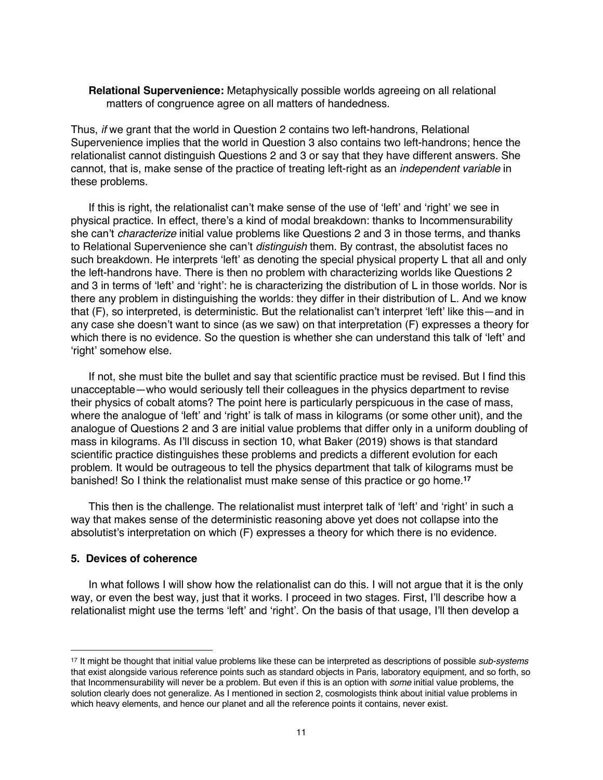**Relational Supervenience:** Metaphysically possible worlds agreeing on all relational matters of congruence agree on all matters of handedness.

Thus, *if* we grant that the world in Question 2 contains two left-handrons, Relational Supervenience implies that the world in Question 3 also contains two left-handrons; hence the relationalist cannot distinguish Questions 2 and 3 or say that they have different answers. She cannot, that is, make sense of the practice of treating left-right as an *independent variable* in these problems.

If this is right, the relationalist can't make sense of the use of 'left' and 'right' we see in physical practice. In effect, there's a kind of modal breakdown: thanks to Incommensurability she can't *characterize* initial value problems like Questions 2 and 3 in those terms, and thanks to Relational Supervenience she can't *distinguish* them. By contrast, the absolutist faces no such breakdown. He interprets 'left' as denoting the special physical property L that all and only the left-handrons have. There is then no problem with characterizing worlds like Questions 2 and 3 in terms of 'left' and 'right': he is characterizing the distribution of L in those worlds. Nor is there any problem in distinguishing the worlds: they differ in their distribution of L. And we know that (F), so interpreted, is deterministic. But the relationalist can't interpret 'left' like this—and in any case she doesn't want to since (as we saw) on that interpretation (F) expresses a theory for which there is no evidence. So the question is whether she can understand this talk of 'left' and 'right' somehow else.

If not, she must bite the bullet and say that scientific practice must be revised. But I find this unacceptable—who would seriously tell their colleagues in the physics department to revise their physics of cobalt atoms? The point here is particularly perspicuous in the case of mass, where the analogue of 'left' and 'right' is talk of mass in kilograms (or some other unit), and the analogue of Questions 2 and 3 are initial value problems that differ only in a uniform doubling of mass in kilograms. As I'll discuss in section 10, what Baker (2019) shows is that standard scientific practice distinguishes these problems and predicts a different evolution for each problem. It would be outrageous to tell the physics department that talk of kilograms must be banished! So I think the relationalist must make sense of this practice or go home.**<sup>17</sup>**

This then is the challenge. The relationalist must interpret talk of 'left' and 'right' in such a way that makes sense of the deterministic reasoning above yet does not collapse into the absolutist's interpretation on which (F) expresses a theory for which there is no evidence.

## **5. Devices of coherence**

In what follows I will show how the relationalist can do this. I will not argue that it is the only way, or even the best way, just that it works. I proceed in two stages. First, I'll describe how a relationalist might use the terms 'left' and 'right'. On the basis of that usage, I'll then develop a

<sup>17</sup> It might be thought that initial value problems like these can be interpreted as descriptions of possible *sub-systems* that exist alongside various reference points such as standard objects in Paris, laboratory equipment, and so forth, so that Incommensurability will never be a problem. But even if this is an option with *some* initial value problems, the solution clearly does not generalize. As I mentioned in section 2, cosmologists think about initial value problems in which heavy elements, and hence our planet and all the reference points it contains, never exist.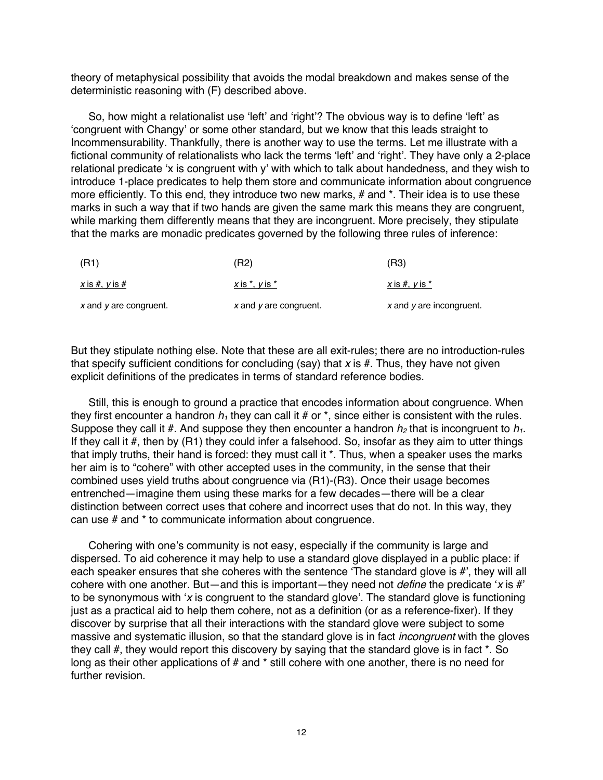theory of metaphysical possibility that avoids the modal breakdown and makes sense of the deterministic reasoning with (F) described above.

So, how might a relationalist use 'left' and 'right'? The obvious way is to define 'left' as 'congruent with Changy' or some other standard, but we know that this leads straight to Incommensurability. Thankfully, there is another way to use the terms. Let me illustrate with a fictional community of relationalists who lack the terms 'left' and 'right'. They have only a 2-place relational predicate 'x is congruent with y' with which to talk about handedness, and they wish to introduce 1-place predicates to help them store and communicate information about congruence more efficiently. To this end, they introduce two new marks, # and \*. Their idea is to use these marks in such a way that if two hands are given the same mark this means they are congruent, while marking them differently means that they are incongruent. More precisely, they stipulate that the marks are monadic predicates governed by the following three rules of inference:

| (R1)                       | (R2)                       | (R3)                         |
|----------------------------|----------------------------|------------------------------|
| <u>x is #, y is #</u>      | <u>x is *, y is *</u>      | <u>x is #, y is *</u>        |
| $x$ and $y$ are congruent. | $x$ and $y$ are congruent. | $x$ and $y$ are incongruent. |

But they stipulate nothing else. Note that these are all exit-rules; there are no introduction-rules that specify sufficient conditions for concluding (say) that  $x$  is  $#$ . Thus, they have not given explicit definitions of the predicates in terms of standard reference bodies.

Still, this is enough to ground a practice that encodes information about congruence. When they first encounter a handron  $h_1$  they can call it # or  $\star$ , since either is consistent with the rules. Suppose they call it #. And suppose they then encounter a handron  $h_2$  that is incongruent to  $h_1$ . If they call it #, then by (R1) they could infer a falsehood. So, insofar as they aim to utter things that imply truths, their hand is forced: they must call it \*. Thus, when a speaker uses the marks her aim is to "cohere" with other accepted uses in the community, in the sense that their combined uses yield truths about congruence via (R1)-(R3). Once their usage becomes entrenched—imagine them using these marks for a few decades—there will be a clear distinction between correct uses that cohere and incorrect uses that do not. In this way, they can use # and \* to communicate information about congruence.

Cohering with one's community is not easy, especially if the community is large and dispersed. To aid coherence it may help to use a standard glove displayed in a public place: if each speaker ensures that she coheres with the sentence 'The standard glove is #', they will all cohere with one another. But—and this is important—they need not *define* the predicate '*x* is #' to be synonymous with '*x* is congruent to the standard glove'. The standard glove is functioning just as a practical aid to help them cohere, not as a definition (or as a reference-fixer). If they discover by surprise that all their interactions with the standard glove were subject to some massive and systematic illusion, so that the standard glove is in fact *incongruent* with the gloves they call #, they would report this discovery by saying that the standard glove is in fact \*. So long as their other applications of # and \* still cohere with one another, there is no need for further revision.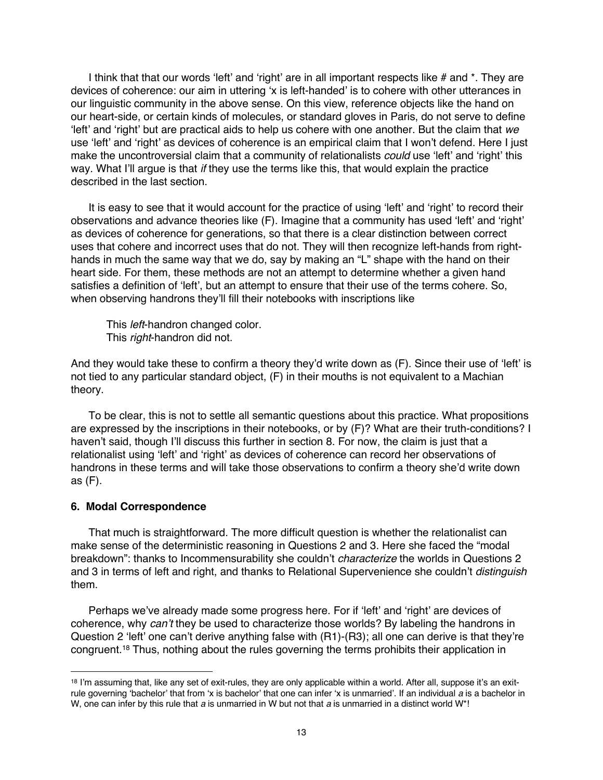I think that that our words 'left' and 'right' are in all important respects like  $#$  and  $*$ . They are devices of coherence: our aim in uttering 'x is left-handed' is to cohere with other utterances in our linguistic community in the above sense. On this view, reference objects like the hand on our heart-side, or certain kinds of molecules, or standard gloves in Paris, do not serve to define 'left' and 'right' but are practical aids to help us cohere with one another. But the claim that *we* use 'left' and 'right' as devices of coherence is an empirical claim that I won't defend. Here I just make the uncontroversial claim that a community of relationalists *could* use 'left' and 'right' this way. What I'll argue is that *if* they use the terms like this, that would explain the practice described in the last section.

It is easy to see that it would account for the practice of using 'left' and 'right' to record their observations and advance theories like (F). Imagine that a community has used 'left' and 'right' as devices of coherence for generations, so that there is a clear distinction between correct uses that cohere and incorrect uses that do not. They will then recognize left-hands from righthands in much the same way that we do, say by making an "L" shape with the hand on their heart side. For them, these methods are not an attempt to determine whether a given hand satisfies a definition of 'left', but an attempt to ensure that their use of the terms cohere. So, when observing handrons they'll fill their notebooks with inscriptions like

This *left*-handron changed color. This *right*-handron did not.

And they would take these to confirm a theory they'd write down as (F). Since their use of 'left' is not tied to any particular standard object, (F) in their mouths is not equivalent to a Machian theory.

To be clear, this is not to settle all semantic questions about this practice. What propositions are expressed by the inscriptions in their notebooks, or by (F)? What are their truth-conditions? I haven't said, though I'll discuss this further in section 8. For now, the claim is just that a relationalist using 'left' and 'right' as devices of coherence can record her observations of handrons in these terms and will take those observations to confirm a theory she'd write down as (F).

#### **6. Modal Correspondence**

That much is straightforward. The more difficult question is whether the relationalist can make sense of the deterministic reasoning in Questions 2 and 3. Here she faced the "modal breakdown": thanks to Incommensurability she couldn't *characterize* the worlds in Questions 2 and 3 in terms of left and right, and thanks to Relational Supervenience she couldn't *distinguish* them.

Perhaps we've already made some progress here. For if 'left' and 'right' are devices of coherence, why *can't* they be used to characterize those worlds? By labeling the handrons in Question 2 'left' one can't derive anything false with (R1)-(R3); all one can derive is that they're congruent.<sup>18</sup> Thus, nothing about the rules governing the terms prohibits their application in

<sup>&</sup>lt;sup>18</sup> I'm assuming that, like any set of exit-rules, they are only applicable within a world. After all, suppose it's an exitrule governing 'bachelor' that from 'x is bachelor' that one can infer 'x is unmarried'. If an individual *a* is a bachelor in W, one can infer by this rule that *a* is unmarried in W but not that *a* is unmarried in a distinct world W\*!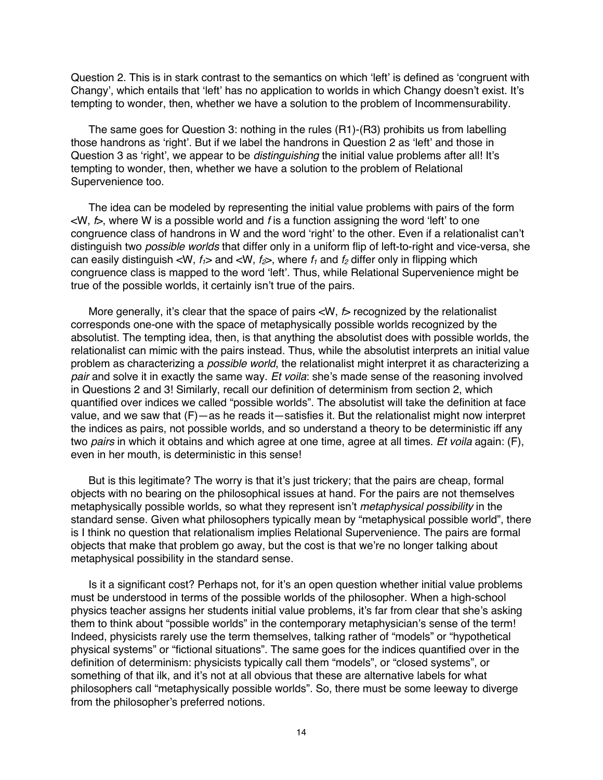Question 2. This is in stark contrast to the semantics on which 'left' is defined as 'congruent with Changy', which entails that 'left' has no application to worlds in which Changy doesn't exist. It's tempting to wonder, then, whether we have a solution to the problem of Incommensurability.

The same goes for Question 3: nothing in the rules (R1)-(R3) prohibits us from labelling those handrons as 'right'. But if we label the handrons in Question 2 as 'left' and those in Question 3 as 'right', we appear to be *distinguishing* the initial value problems after all! It's tempting to wonder, then, whether we have a solution to the problem of Relational Supervenience too.

The idea can be modeled by representing the initial value problems with pairs of the form <W, *f*>, where W is a possible world and *f* is a function assigning the word 'left' to one congruence class of handrons in W and the word 'right' to the other. Even if a relationalist can't distinguish two *possible worlds* that differ only in a uniform flip of left-to-right and vice-versa, she can easily distinguish  $\langle W, f_1 \rangle$  and  $\langle W, f_2 \rangle$ , where  $f_1$  and  $f_2$  differ only in flipping which congruence class is mapped to the word 'left'. Thus, while Relational Supervenience might be true of the possible worlds, it certainly isn't true of the pairs.

More generally, it's clear that the space of pairs <W, *f*> recognized by the relationalist corresponds one-one with the space of metaphysically possible worlds recognized by the absolutist. The tempting idea, then, is that anything the absolutist does with possible worlds, the relationalist can mimic with the pairs instead. Thus, while the absolutist interprets an initial value problem as characterizing a *possible world*, the relationalist might interpret it as characterizing a *pair* and solve it in exactly the same way. *Et voila*: she's made sense of the reasoning involved in Questions 2 and 3! Similarly, recall our definition of determinism from section 2, which quantified over indices we called "possible worlds". The absolutist will take the definition at face value, and we saw that (F)—as he reads it—satisfies it. But the relationalist might now interpret the indices as pairs, not possible worlds, and so understand a theory to be deterministic iff any two *pairs* in which it obtains and which agree at one time, agree at all times. *Et voila* again: (F), even in her mouth, is deterministic in this sense!

But is this legitimate? The worry is that it's just trickery; that the pairs are cheap, formal objects with no bearing on the philosophical issues at hand. For the pairs are not themselves metaphysically possible worlds, so what they represent isn't *metaphysical possibility* in the standard sense. Given what philosophers typically mean by "metaphysical possible world", there is I think no question that relationalism implies Relational Supervenience. The pairs are formal objects that make that problem go away, but the cost is that we're no longer talking about metaphysical possibility in the standard sense.

Is it a significant cost? Perhaps not, for it's an open question whether initial value problems must be understood in terms of the possible worlds of the philosopher. When a high-school physics teacher assigns her students initial value problems, it's far from clear that she's asking them to think about "possible worlds" in the contemporary metaphysician's sense of the term! Indeed, physicists rarely use the term themselves, talking rather of "models" or "hypothetical physical systems" or "fictional situations". The same goes for the indices quantified over in the definition of determinism: physicists typically call them "models", or "closed systems", or something of that ilk, and it's not at all obvious that these are alternative labels for what philosophers call "metaphysically possible worlds". So, there must be some leeway to diverge from the philosopher's preferred notions.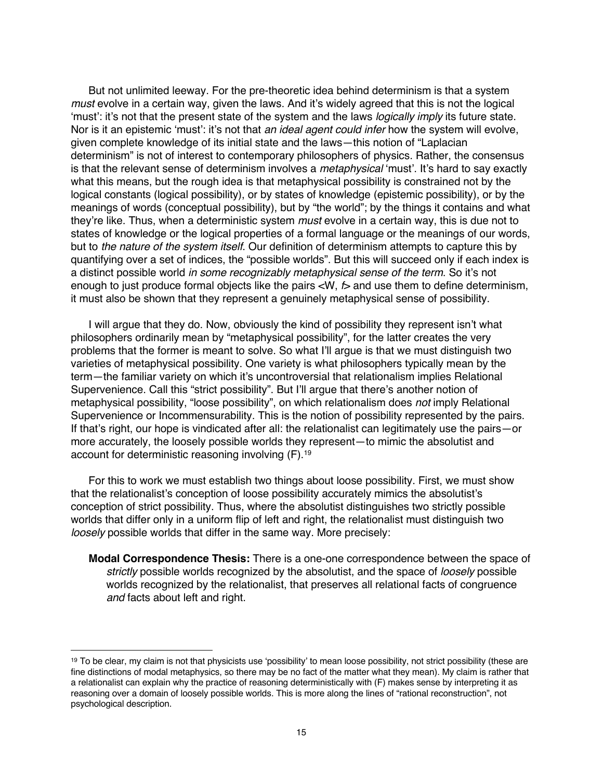But not unlimited leeway. For the pre-theoretic idea behind determinism is that a system *must* evolve in a certain way, given the laws. And it's widely agreed that this is not the logical 'must': it's not that the present state of the system and the laws *logically imply* its future state. Nor is it an epistemic 'must': it's not that *an ideal agent could infer* how the system will evolve, given complete knowledge of its initial state and the laws—this notion of "Laplacian determinism" is not of interest to contemporary philosophers of physics. Rather, the consensus is that the relevant sense of determinism involves a *metaphysical* 'must'. It's hard to say exactly what this means, but the rough idea is that metaphysical possibility is constrained not by the logical constants (logical possibility), or by states of knowledge (epistemic possibility), or by the meanings of words (conceptual possibility), but by "the world"; by the things it contains and what they're like. Thus, when a deterministic system *must* evolve in a certain way, this is due not to states of knowledge or the logical properties of a formal language or the meanings of our words, but to *the nature of the system itself*. Our definition of determinism attempts to capture this by quantifying over a set of indices, the "possible worlds". But this will succeed only if each index is a distinct possible world *in some recognizably metaphysical sense of the term*. So it's not enough to just produce formal objects like the pairs <W, *f*> and use them to define determinism, it must also be shown that they represent a genuinely metaphysical sense of possibility.

I will argue that they do. Now, obviously the kind of possibility they represent isn't what philosophers ordinarily mean by "metaphysical possibility", for the latter creates the very problems that the former is meant to solve. So what I'll argue is that we must distinguish two varieties of metaphysical possibility. One variety is what philosophers typically mean by the term—the familiar variety on which it's uncontroversial that relationalism implies Relational Supervenience. Call this "strict possibility". But I'll argue that there's another notion of metaphysical possibility, "loose possibility", on which relationalism does *not* imply Relational Supervenience or Incommensurability. This is the notion of possibility represented by the pairs. If that's right, our hope is vindicated after all: the relationalist can legitimately use the pairs—or more accurately, the loosely possible worlds they represent—to mimic the absolutist and account for deterministic reasoning involving (F).19

For this to work we must establish two things about loose possibility. First, we must show that the relationalist's conception of loose possibility accurately mimics the absolutist's conception of strict possibility. Thus, where the absolutist distinguishes two strictly possible worlds that differ only in a uniform flip of left and right, the relationalist must distinguish two *loosely* possible worlds that differ in the same way. More precisely:

**Modal Correspondence Thesis:** There is a one-one correspondence between the space of *strictly* possible worlds recognized by the absolutist, and the space of *loosely* possible worlds recognized by the relationalist, that preserves all relational facts of congruence *and* facts about left and right.

<sup>&</sup>lt;sup>19</sup> To be clear, my claim is not that physicists use 'possibility' to mean loose possibility, not strict possibility (these are fine distinctions of modal metaphysics, so there may be no fact of the matter what they mean). My claim is rather that a relationalist can explain why the practice of reasoning deterministically with (F) makes sense by interpreting it as reasoning over a domain of loosely possible worlds. This is more along the lines of "rational reconstruction", not psychological description.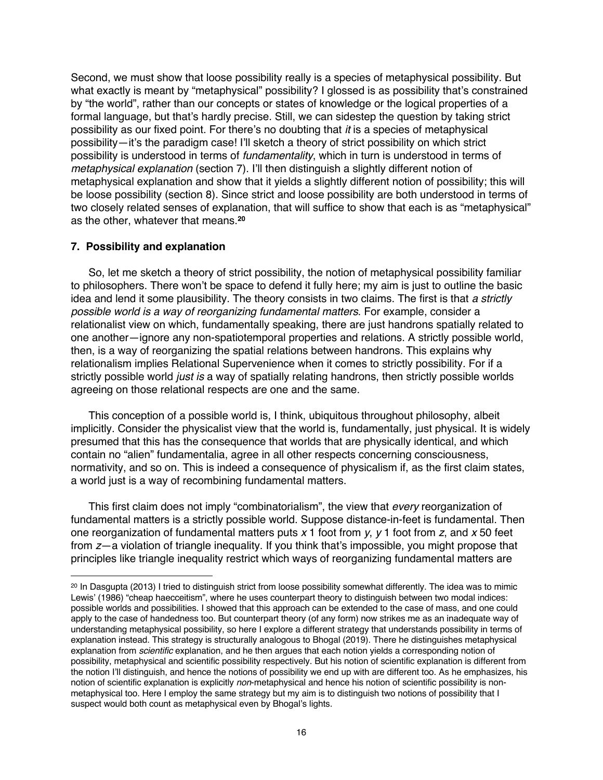Second, we must show that loose possibility really is a species of metaphysical possibility. But what exactly is meant by "metaphysical" possibility? I glossed is as possibility that's constrained by "the world", rather than our concepts or states of knowledge or the logical properties of a formal language, but that's hardly precise. Still, we can sidestep the question by taking strict possibility as our fixed point. For there's no doubting that *it* is a species of metaphysical possibility—it's the paradigm case! I'll sketch a theory of strict possibility on which strict possibility is understood in terms of *fundamentality*, which in turn is understood in terms of *metaphysical explanation* (section 7). I'll then distinguish a slightly different notion of metaphysical explanation and show that it yields a slightly different notion of possibility; this will be loose possibility (section 8). Since strict and loose possibility are both understood in terms of two closely related senses of explanation, that will suffice to show that each is as "metaphysical" as the other, whatever that means.**<sup>20</sup>**

## **7. Possibility and explanation**

So, let me sketch a theory of strict possibility, the notion of metaphysical possibility familiar to philosophers. There won't be space to defend it fully here; my aim is just to outline the basic idea and lend it some plausibility. The theory consists in two claims. The first is that *a strictly possible world is a way of reorganizing fundamental matters*. For example, consider a relationalist view on which, fundamentally speaking, there are just handrons spatially related to one another—ignore any non-spatiotemporal properties and relations. A strictly possible world, then, is a way of reorganizing the spatial relations between handrons. This explains why relationalism implies Relational Supervenience when it comes to strictly possibility. For if a strictly possible world *just is* a way of spatially relating handrons, then strictly possible worlds agreeing on those relational respects are one and the same.

This conception of a possible world is, I think, ubiquitous throughout philosophy, albeit implicitly. Consider the physicalist view that the world is, fundamentally, just physical. It is widely presumed that this has the consequence that worlds that are physically identical, and which contain no "alien" fundamentalia, agree in all other respects concerning consciousness, normativity, and so on. This is indeed a consequence of physicalism if, as the first claim states, a world just is a way of recombining fundamental matters.

This first claim does not imply "combinatorialism", the view that *every* reorganization of fundamental matters is a strictly possible world. Suppose distance-in-feet is fundamental. Then one reorganization of fundamental matters puts *x* 1 foot from *y*, *y* 1 foot from *z*, and *x* 50 feet from *z*—a violation of triangle inequality. If you think that's impossible, you might propose that principles like triangle inequality restrict which ways of reorganizing fundamental matters are

<sup>&</sup>lt;sup>20</sup> In Dasgupta (2013) I tried to distinguish strict from loose possibility somewhat differently. The idea was to mimic Lewis' (1986) "cheap haecceitism", where he uses counterpart theory to distinguish between two modal indices: possible worlds and possibilities. I showed that this approach can be extended to the case of mass, and one could apply to the case of handedness too. But counterpart theory (of any form) now strikes me as an inadequate way of understanding metaphysical possibility, so here I explore a different strategy that understands possibility in terms of explanation instead. This strategy is structurally analogous to Bhogal (2019). There he distinguishes metaphysical explanation from *scientific* explanation, and he then argues that each notion yields a corresponding notion of possibility, metaphysical and scientific possibility respectively. But his notion of scientific explanation is different from the notion I'll distinguish, and hence the notions of possibility we end up with are different too. As he emphasizes, his notion of scientific explanation is explicitly *non*-metaphysical and hence his notion of scientific possibility is nonmetaphysical too. Here I employ the same strategy but my aim is to distinguish two notions of possibility that I suspect would both count as metaphysical even by Bhogal's lights.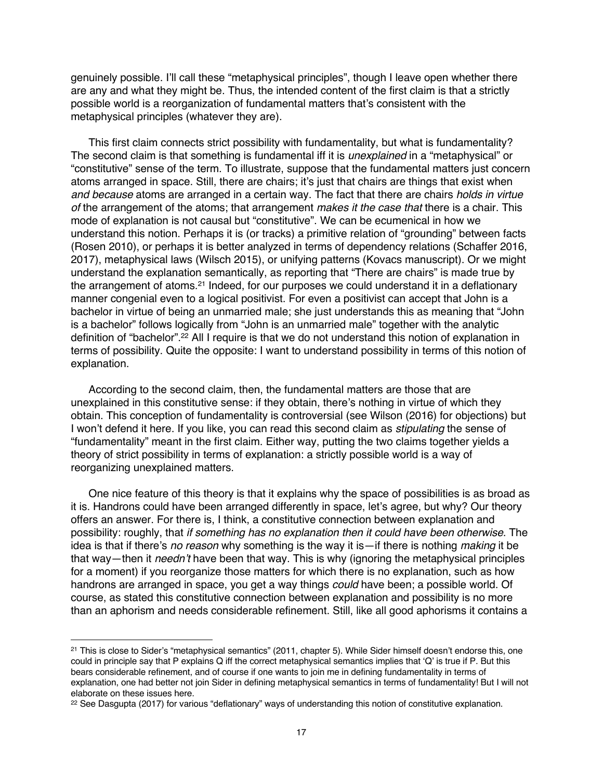genuinely possible. I'll call these "metaphysical principles", though I leave open whether there are any and what they might be. Thus, the intended content of the first claim is that a strictly possible world is a reorganization of fundamental matters that's consistent with the metaphysical principles (whatever they are).

This first claim connects strict possibility with fundamentality, but what is fundamentality? The second claim is that something is fundamental iff it is *unexplained* in a "metaphysical" or "constitutive" sense of the term. To illustrate, suppose that the fundamental matters just concern atoms arranged in space. Still, there are chairs; it's just that chairs are things that exist when *and because* atoms are arranged in a certain way. The fact that there are chairs *holds in virtue of* the arrangement of the atoms; that arrangement *makes it the case that* there is a chair. This mode of explanation is not causal but "constitutive". We can be ecumenical in how we understand this notion. Perhaps it is (or tracks) a primitive relation of "grounding" between facts (Rosen 2010), or perhaps it is better analyzed in terms of dependency relations (Schaffer 2016, 2017), metaphysical laws (Wilsch 2015), or unifying patterns (Kovacs manuscript). Or we might understand the explanation semantically, as reporting that "There are chairs" is made true by the arrangement of atoms.<sup>21</sup> Indeed, for our purposes we could understand it in a deflationary manner congenial even to a logical positivist. For even a positivist can accept that John is a bachelor in virtue of being an unmarried male; she just understands this as meaning that "John is a bachelor" follows logically from "John is an unmarried male" together with the analytic definition of "bachelor".22 All I require is that we do not understand this notion of explanation in terms of possibility. Quite the opposite: I want to understand possibility in terms of this notion of explanation.

According to the second claim, then, the fundamental matters are those that are unexplained in this constitutive sense: if they obtain, there's nothing in virtue of which they obtain. This conception of fundamentality is controversial (see Wilson (2016) for objections) but I won't defend it here. If you like, you can read this second claim as *stipulating* the sense of "fundamentality" meant in the first claim. Either way, putting the two claims together yields a theory of strict possibility in terms of explanation: a strictly possible world is a way of reorganizing unexplained matters.

One nice feature of this theory is that it explains why the space of possibilities is as broad as it is. Handrons could have been arranged differently in space, let's agree, but why? Our theory offers an answer. For there is, I think, a constitutive connection between explanation and possibility: roughly, that *if something has no explanation then it could have been otherwise*. The idea is that if there's *no reason* why something is the way it is—if there is nothing *making* it be that way—then it *needn't* have been that way. This is why (ignoring the metaphysical principles for a moment) if you reorganize those matters for which there is no explanation, such as how handrons are arranged in space, you get a way things *could* have been; a possible world. Of course, as stated this constitutive connection between explanation and possibility is no more than an aphorism and needs considerable refinement. Still, like all good aphorisms it contains a

<sup>21</sup> This is close to Sider's "metaphysical semantics" (2011, chapter 5). While Sider himself doesn't endorse this, one could in principle say that P explains Q iff the correct metaphysical semantics implies that 'Q' is true if P. But this bears considerable refinement, and of course if one wants to join me in defining fundamentality in terms of explanation, one had better not join Sider in defining metaphysical semantics in terms of fundamentality! But I will not elaborate on these issues here.

<sup>22</sup> See Dasgupta (2017) for various "deflationary" ways of understanding this notion of constitutive explanation.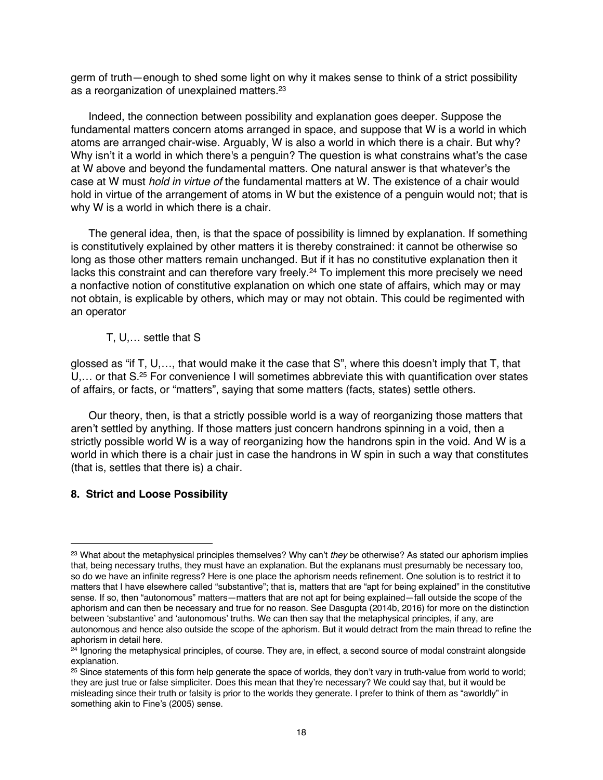germ of truth—enough to shed some light on why it makes sense to think of a strict possibility as a reorganization of unexplained matters.23

Indeed, the connection between possibility and explanation goes deeper. Suppose the fundamental matters concern atoms arranged in space, and suppose that W is a world in which atoms are arranged chair-wise. Arguably, W is also a world in which there is a chair. But why? Why isn't it a world in which there's a penguin? The question is what constrains what's the case at W above and beyond the fundamental matters. One natural answer is that whatever's the case at W must *hold in virtue of* the fundamental matters at W. The existence of a chair would hold in virtue of the arrangement of atoms in W but the existence of a penguin would not; that is why W is a world in which there is a chair.

The general idea, then, is that the space of possibility is limned by explanation. If something is constitutively explained by other matters it is thereby constrained: it cannot be otherwise so long as those other matters remain unchanged. But if it has no constitutive explanation then it lacks this constraint and can therefore vary freely. <sup>24</sup> To implement this more precisely we need a nonfactive notion of constitutive explanation on which one state of affairs, which may or may not obtain, is explicable by others, which may or may not obtain. This could be regimented with an operator

## T, U,… settle that S

glossed as "if T, U,…, that would make it the case that S", where this doesn't imply that T, that U,… or that S.25 For convenience I will sometimes abbreviate this with quantification over states of affairs, or facts, or "matters", saying that some matters (facts, states) settle others.

Our theory, then, is that a strictly possible world is a way of reorganizing those matters that aren't settled by anything. If those matters just concern handrons spinning in a void, then a strictly possible world W is a way of reorganizing how the handrons spin in the void. And W is a world in which there is a chair just in case the handrons in W spin in such a way that constitutes (that is, settles that there is) a chair.

# **8. Strict and Loose Possibility**

<sup>23</sup> What about the metaphysical principles themselves? Why can't *they* be otherwise? As stated our aphorism implies that, being necessary truths, they must have an explanation. But the explanans must presumably be necessary too, so do we have an infinite regress? Here is one place the aphorism needs refinement. One solution is to restrict it to matters that I have elsewhere called "substantive"; that is, matters that are "apt for being explained" in the constitutive sense. If so, then "autonomous" matters—matters that are not apt for being explained—fall outside the scope of the aphorism and can then be necessary and true for no reason. See Dasgupta (2014b, 2016) for more on the distinction between 'substantive' and 'autonomous' truths. We can then say that the metaphysical principles, if any, are autonomous and hence also outside the scope of the aphorism. But it would detract from the main thread to refine the aphorism in detail here.

<sup>&</sup>lt;sup>24</sup> Ignoring the metaphysical principles, of course. They are, in effect, a second source of modal constraint alongside explanation.

<sup>&</sup>lt;sup>25</sup> Since statements of this form help generate the space of worlds, they don't vary in truth-value from world to world; they are just true or false simpliciter. Does this mean that they're necessary? We could say that, but it would be misleading since their truth or falsity is prior to the worlds they generate. I prefer to think of them as "aworldly" in something akin to Fine's (2005) sense.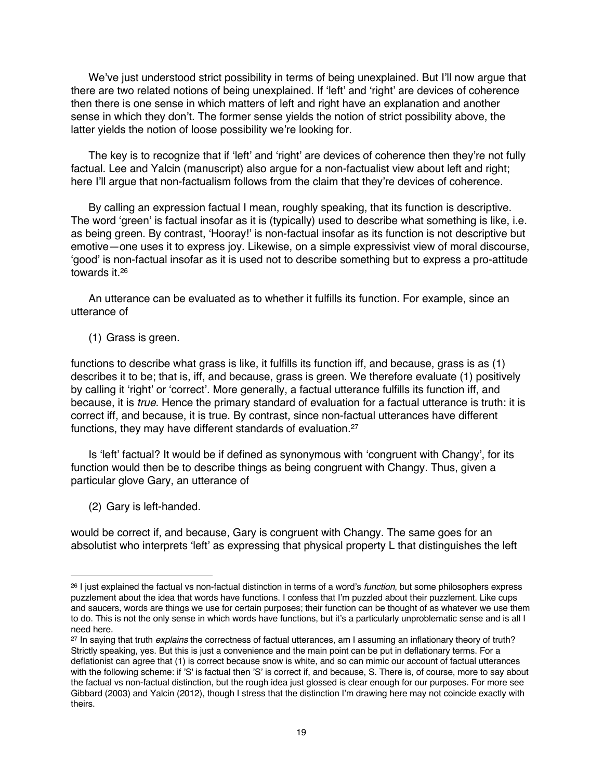We've just understood strict possibility in terms of being unexplained. But I'll now argue that there are two related notions of being unexplained. If 'left' and 'right' are devices of coherence then there is one sense in which matters of left and right have an explanation and another sense in which they don't. The former sense yields the notion of strict possibility above, the latter yields the notion of loose possibility we're looking for.

The key is to recognize that if 'left' and 'right' are devices of coherence then they're not fully factual. Lee and Yalcin (manuscript) also argue for a non-factualist view about left and right; here I'll argue that non-factualism follows from the claim that they're devices of coherence.

By calling an expression factual I mean, roughly speaking, that its function is descriptive. The word 'green' is factual insofar as it is (typically) used to describe what something is like, i.e. as being green. By contrast, 'Hooray!' is non-factual insofar as its function is not descriptive but emotive—one uses it to express joy. Likewise, on a simple expressivist view of moral discourse, 'good' is non-factual insofar as it is used not to describe something but to express a pro-attitude towards it. 26

An utterance can be evaluated as to whether it fulfills its function. For example, since an utterance of

(1) Grass is green.

functions to describe what grass is like, it fulfills its function iff, and because, grass is as (1) describes it to be; that is, iff, and because, grass is green. We therefore evaluate (1) positively by calling it 'right' or 'correct'. More generally, a factual utterance fulfills its function iff, and because, it is *true*. Hence the primary standard of evaluation for a factual utterance is truth: it is correct iff, and because, it is true. By contrast, since non-factual utterances have different functions, they may have different standards of evaluation.<sup>27</sup>

Is 'left' factual? It would be if defined as synonymous with 'congruent with Changy', for its function would then be to describe things as being congruent with Changy. Thus, given a particular glove Gary, an utterance of

(2) Gary is left-handed.

would be correct if, and because, Gary is congruent with Changy. The same goes for an absolutist who interprets 'left' as expressing that physical property L that distinguishes the left

<sup>26</sup> I just explained the factual vs non-factual distinction in terms of a word's *function*, but some philosophers express puzzlement about the idea that words have functions. I confess that I'm puzzled about their puzzlement. Like cups and saucers, words are things we use for certain purposes; their function can be thought of as whatever we use them to do. This is not the only sense in which words have functions, but it's a particularly unproblematic sense and is all I need here.<br><sup>27</sup> In saying that truth *explains* the correctness of factual utterances, am I assuming an inflationary theory of truth?

Strictly speaking, yes. But this is just a convenience and the main point can be put in deflationary terms. For a deflationist can agree that (1) is correct because snow is white, and so can mimic our account of factual utterances with the following scheme: if 'S' is factual then 'S' is correct if, and because, S. There is, of course, more to say about the factual vs non-factual distinction, but the rough idea just glossed is clear enough for our purposes. For more see Gibbard (2003) and Yalcin (2012), though I stress that the distinction I'm drawing here may not coincide exactly with theirs.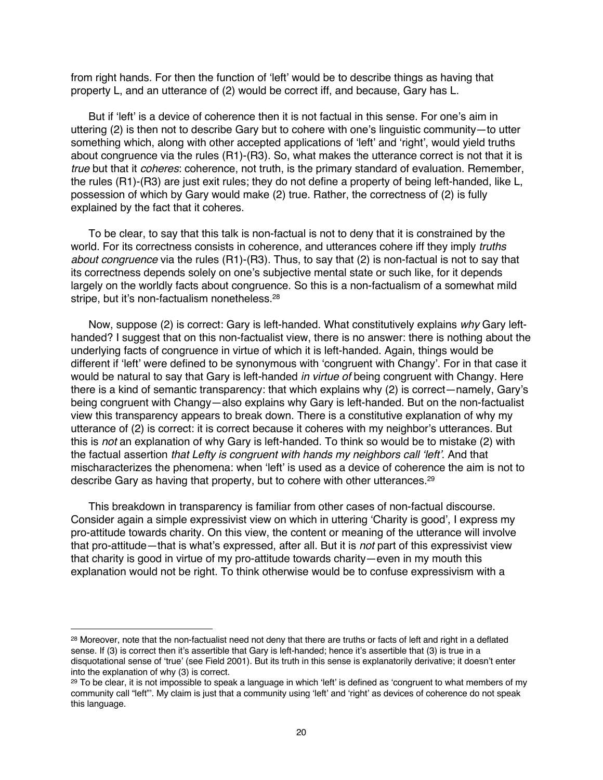from right hands. For then the function of 'left' would be to describe things as having that property L, and an utterance of (2) would be correct iff, and because, Gary has L.

But if 'left' is a device of coherence then it is not factual in this sense. For one's aim in uttering (2) is then not to describe Gary but to cohere with one's linguistic community—to utter something which, along with other accepted applications of 'left' and 'right', would yield truths about congruence via the rules (R1)-(R3). So, what makes the utterance correct is not that it is *true* but that it *coheres*: coherence, not truth, is the primary standard of evaluation. Remember, the rules (R1)-(R3) are just exit rules; they do not define a property of being left-handed, like L, possession of which by Gary would make (2) true. Rather, the correctness of (2) is fully explained by the fact that it coheres.

To be clear, to say that this talk is non-factual is not to deny that it is constrained by the world. For its correctness consists in coherence, and utterances cohere iff they imply *truths about congruence* via the rules (R1)-(R3). Thus, to say that (2) is non-factual is not to say that its correctness depends solely on one's subjective mental state or such like, for it depends largely on the worldly facts about congruence. So this is a non-factualism of a somewhat mild stripe, but it's non-factualism nonetheless.<sup>28</sup>

Now, suppose (2) is correct: Gary is left-handed. What constitutively explains *why* Gary lefthanded? I suggest that on this non-factualist view, there is no answer: there is nothing about the underlying facts of congruence in virtue of which it is left-handed. Again, things would be different if 'left' were defined to be synonymous with 'congruent with Changy'. For in that case it would be natural to say that Gary is left-handed *in virtue of* being congruent with Changy. Here there is a kind of semantic transparency: that which explains why (2) is correct—namely, Gary's being congruent with Changy—also explains why Gary is left-handed. But on the non-factualist view this transparency appears to break down. There is a constitutive explanation of why my utterance of (2) is correct: it is correct because it coheres with my neighbor's utterances. But this is *not* an explanation of why Gary is left-handed. To think so would be to mistake (2) with the factual assertion *that Lefty is congruent with hands my neighbors call 'left'*. And that mischaracterizes the phenomena: when 'left' is used as a device of coherence the aim is not to describe Gary as having that property, but to cohere with other utterances.29

This breakdown in transparency is familiar from other cases of non-factual discourse. Consider again a simple expressivist view on which in uttering 'Charity is good', I express my pro-attitude towards charity. On this view, the content or meaning of the utterance will involve that pro-attitude—that is what's expressed, after all. But it is *not* part of this expressivist view that charity is good in virtue of my pro-attitude towards charity—even in my mouth this explanation would not be right. To think otherwise would be to confuse expressivism with a

<sup>28</sup> Moreover, note that the non-factualist need not deny that there are truths or facts of left and right in a deflated sense. If (3) is correct then it's assertible that Gary is left-handed; hence it's assertible that (3) is true in a disquotational sense of 'true' (see Field 2001). But its truth in this sense is explanatorily derivative; it doesn't enter into the explanation of why (3) is correct.

<sup>&</sup>lt;sup>29</sup> To be clear, it is not impossible to speak a language in which 'left' is defined as 'congruent to what members of my community call "left"'. My claim is just that a community using 'left' and 'right' as devices of coherence do not speak this language.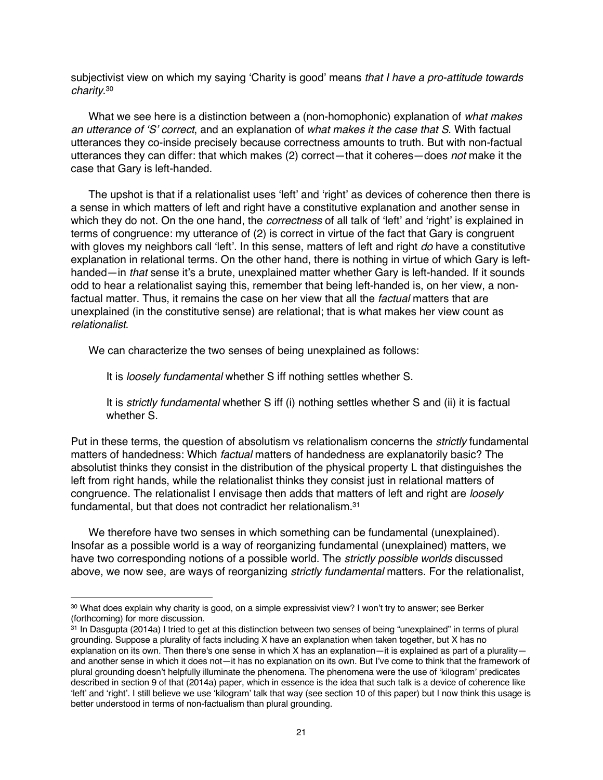subjectivist view on which my saying 'Charity is good' means *that I have a pro-attitude towards charity*.30

What we see here is a distinction between a (non-homophonic) explanation of *what makes an utterance of 'S' correct*, and an explanation of *what makes it the case that S*. With factual utterances they co-inside precisely because correctness amounts to truth. But with non-factual utterances they can differ: that which makes (2) correct—that it coheres—does *not* make it the case that Gary is left-handed.

The upshot is that if a relationalist uses 'left' and 'right' as devices of coherence then there is a sense in which matters of left and right have a constitutive explanation and another sense in which they do not. On the one hand, the *correctness* of all talk of 'left' and 'right' is explained in terms of congruence: my utterance of (2) is correct in virtue of the fact that Gary is congruent with gloves my neighbors call 'left'. In this sense, matters of left and right *do* have a constitutive explanation in relational terms. On the other hand, there is nothing in virtue of which Gary is lefthanded—in *that* sense it's a brute, unexplained matter whether Gary is left-handed. If it sounds odd to hear a relationalist saying this, remember that being left-handed is, on her view, a nonfactual matter. Thus, it remains the case on her view that all the *factual* matters that are unexplained (in the constitutive sense) are relational; that is what makes her view count as *relationalist*.

We can characterize the two senses of being unexplained as follows:

It is *loosely fundamental* whether S iff nothing settles whether S.

It is *strictly fundamental* whether S iff (i) nothing settles whether S and (ii) it is factual whether S.

Put in these terms, the question of absolutism vs relationalism concerns the *strictly* fundamental matters of handedness: Which *factual* matters of handedness are explanatorily basic? The absolutist thinks they consist in the distribution of the physical property L that distinguishes the left from right hands, while the relationalist thinks they consist just in relational matters of congruence. The relationalist I envisage then adds that matters of left and right are *loosely* fundamental, but that does not contradict her relationalism.31

We therefore have two senses in which something can be fundamental (unexplained). Insofar as a possible world is a way of reorganizing fundamental (unexplained) matters, we have two corresponding notions of a possible world. The *strictly possible worlds* discussed above, we now see, are ways of reorganizing *strictly fundamental* matters. For the relationalist,

<sup>30</sup> What does explain why charity is good, on a simple expressivist view? I won't try to answer; see Berker (forthcoming) for more discussion.

<sup>31</sup> In Dasgupta (2014a) I tried to get at this distinction between two senses of being "unexplained" in terms of plural grounding. Suppose a plurality of facts including X have an explanation when taken together, but X has no explanation on its own. Then there's one sense in which X has an explanation—it is explained as part of a plurality and another sense in which it does not—it has no explanation on its own. But I've come to think that the framework of plural grounding doesn't helpfully illuminate the phenomena. The phenomena were the use of 'kilogram' predicates described in section 9 of that (2014a) paper, which in essence is the idea that such talk is a device of coherence like 'left' and 'right'. I still believe we use 'kilogram' talk that way (see section 10 of this paper) but I now think this usage is better understood in terms of non-factualism than plural grounding.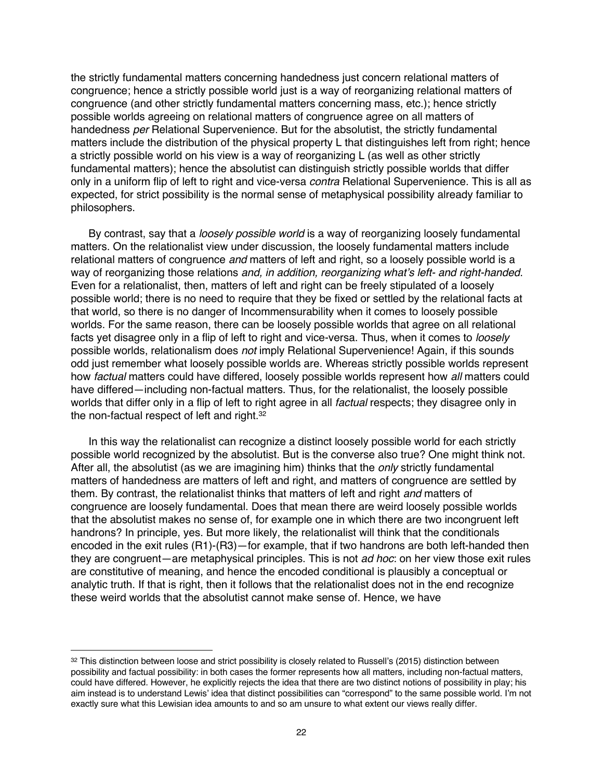the strictly fundamental matters concerning handedness just concern relational matters of congruence; hence a strictly possible world just is a way of reorganizing relational matters of congruence (and other strictly fundamental matters concerning mass, etc.); hence strictly possible worlds agreeing on relational matters of congruence agree on all matters of handedness *per* Relational Supervenience. But for the absolutist, the strictly fundamental matters include the distribution of the physical property L that distinguishes left from right; hence a strictly possible world on his view is a way of reorganizing L (as well as other strictly fundamental matters); hence the absolutist can distinguish strictly possible worlds that differ only in a uniform flip of left to right and vice-versa *contra* Relational Supervenience. This is all as expected, for strict possibility is the normal sense of metaphysical possibility already familiar to philosophers.

By contrast, say that a *loosely possible world* is a way of reorganizing loosely fundamental matters. On the relationalist view under discussion, the loosely fundamental matters include relational matters of congruence *and* matters of left and right, so a loosely possible world is a way of reorganizing those relations *and, in addition, reorganizing what's left- and right-handed*. Even for a relationalist, then, matters of left and right can be freely stipulated of a loosely possible world; there is no need to require that they be fixed or settled by the relational facts at that world, so there is no danger of Incommensurability when it comes to loosely possible worlds. For the same reason, there can be loosely possible worlds that agree on all relational facts yet disagree only in a flip of left to right and vice-versa. Thus, when it comes to *loosely* possible worlds, relationalism does *not* imply Relational Supervenience! Again, if this sounds odd just remember what loosely possible worlds are. Whereas strictly possible worlds represent how *factual* matters could have differed, loosely possible worlds represent how *all* matters could have differed—including non-factual matters. Thus, for the relationalist, the loosely possible worlds that differ only in a flip of left to right agree in all *factual* respects; they disagree only in the non-factual respect of left and right.32

In this way the relationalist can recognize a distinct loosely possible world for each strictly possible world recognized by the absolutist. But is the converse also true? One might think not. After all, the absolutist (as we are imagining him) thinks that the *only* strictly fundamental matters of handedness are matters of left and right, and matters of congruence are settled by them. By contrast, the relationalist thinks that matters of left and right *and* matters of congruence are loosely fundamental. Does that mean there are weird loosely possible worlds that the absolutist makes no sense of, for example one in which there are two incongruent left handrons? In principle, yes. But more likely, the relationalist will think that the conditionals encoded in the exit rules (R1)-(R3)—for example, that if two handrons are both left-handed then they are congruent—are metaphysical principles. This is not *ad hoc*: on her view those exit rules are constitutive of meaning, and hence the encoded conditional is plausibly a conceptual or analytic truth. If that is right, then it follows that the relationalist does not in the end recognize these weird worlds that the absolutist cannot make sense of. Hence, we have

<sup>32</sup> This distinction between loose and strict possibility is closely related to Russell's (2015) distinction between possibility and factual possibility: in both cases the former represents how all matters, including non-factual matters, could have differed. However, he explicitly rejects the idea that there are two distinct notions of possibility in play; his aim instead is to understand Lewis' idea that distinct possibilities can "correspond" to the same possible world. I'm not exactly sure what this Lewisian idea amounts to and so am unsure to what extent our views really differ.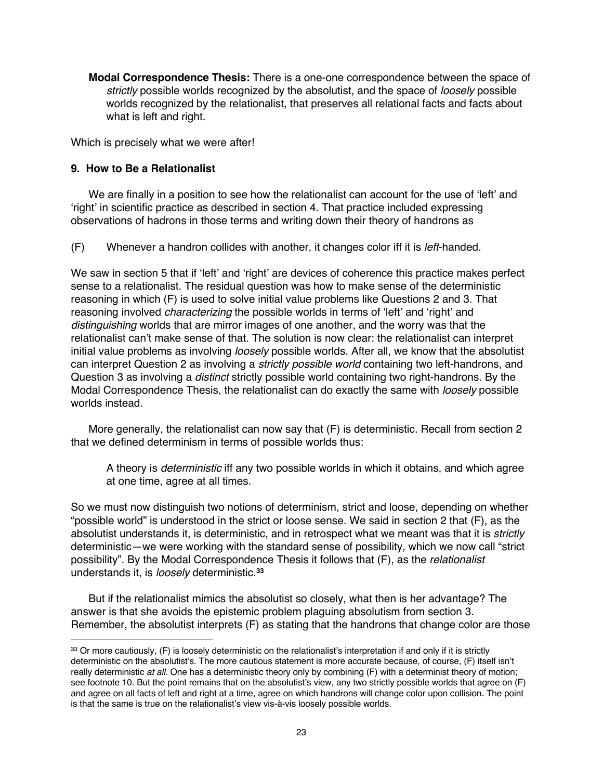**Modal Correspondence Thesis:** There is a one-one correspondence between the space of *strictly* possible worlds recognized by the absolutist, and the space of *loosely* possible worlds recognized by the relationalist, that preserves all relational facts and facts about what is left and right.

Which is precisely what we were after!

# **9. How to Be a Relationalist**

We are finally in a position to see how the relationalist can account for the use of 'left' and 'right' in scientific practice as described in section 4. That practice included expressing observations of hadrons in those terms and writing down their theory of handrons as

(F) Whenever a handron collides with another, it changes color iff it is *left*-handed.

We saw in section 5 that if 'left' and 'right' are devices of coherence this practice makes perfect sense to a relationalist. The residual question was how to make sense of the deterministic reasoning in which (F) is used to solve initial value problems like Questions 2 and 3. That reasoning involved *characterizing* the possible worlds in terms of 'left' and 'right' and *distinguishing* worlds that are mirror images of one another, and the worry was that the relationalist can't make sense of that. The solution is now clear: the relationalist can interpret initial value problems as involving *loosely* possible worlds. After all, we know that the absolutist can interpret Question 2 as involving a *strictly possible world* containing two left-handrons, and Question 3 as involving a *distinct* strictly possible world containing two right-handrons. By the Modal Correspondence Thesis, the relationalist can do exactly the same with *loosely* possible worlds instead.

More generally, the relationalist can now say that (F) is deterministic. Recall from section 2 that we defined determinism in terms of possible worlds thus:

A theory is *deterministic* iff any two possible worlds in which it obtains, and which agree at one time, agree at all times.

So we must now distinguish two notions of determinism, strict and loose, depending on whether "possible world" is understood in the strict or loose sense. We said in section 2 that (F), as the absolutist understands it, is deterministic, and in retrospect what we meant was that it is *strictly* deterministic—we were working with the standard sense of possibility, which we now call "strict possibility". By the Modal Correspondence Thesis it follows that (F), as the *relationalist* understands it, is *loosely* deterministic.**<sup>33</sup>**

But if the relationalist mimics the absolutist so closely, what then is her advantage? The answer is that she avoids the epistemic problem plaguing absolutism from section 3. Remember, the absolutist interprets (F) as stating that the handrons that change color are those

<sup>33</sup> Or more cautiously, (F) is loosely deterministic on the relationalist's interpretation if and only if it is strictly deterministic on the absolutist's. The more cautious statement is more accurate because, of course, (F) itself isn't really deterministic *at all*. One has a deterministic theory only by combining (F) with a determinist theory of motion; see footnote 10. But the point remains that on the absolutist's view, any two strictly possible worlds that agree on (F) and agree on all facts of left and right at a time, agree on which handrons will change color upon collision. The point is that the same is true on the relationalist's view vis-à-vis loosely possible worlds.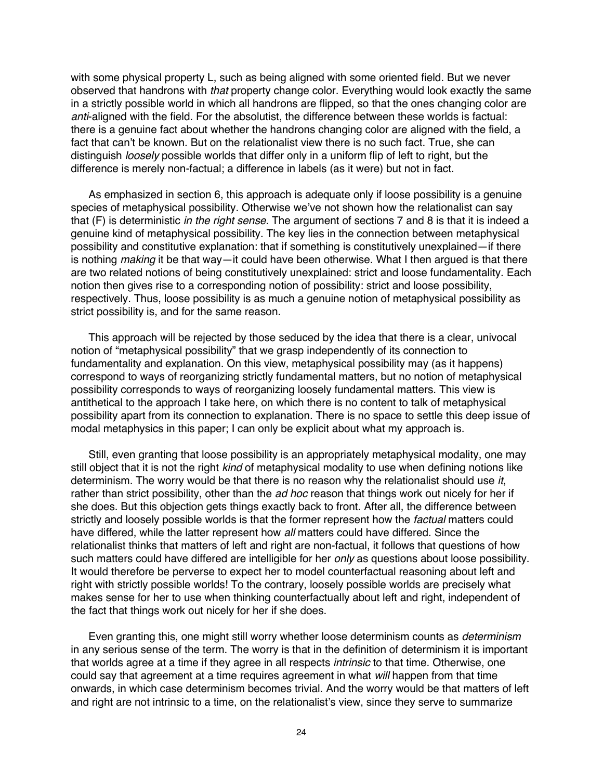with some physical property L, such as being aligned with some oriented field. But we never observed that handrons with *that* property change color. Everything would look exactly the same in a strictly possible world in which all handrons are flipped, so that the ones changing color are *anti*-aligned with the field. For the absolutist, the difference between these worlds is factual: there is a genuine fact about whether the handrons changing color are aligned with the field, a fact that can't be known. But on the relationalist view there is no such fact. True, she can distinguish *loosely* possible worlds that differ only in a uniform flip of left to right, but the difference is merely non-factual; a difference in labels (as it were) but not in fact.

As emphasized in section 6, this approach is adequate only if loose possibility is a genuine species of metaphysical possibility. Otherwise we've not shown how the relationalist can say that (F) is deterministic *in the right sense*. The argument of sections 7 and 8 is that it is indeed a genuine kind of metaphysical possibility. The key lies in the connection between metaphysical possibility and constitutive explanation: that if something is constitutively unexplained—if there is nothing *making* it be that way—it could have been otherwise. What I then argued is that there are two related notions of being constitutively unexplained: strict and loose fundamentality. Each notion then gives rise to a corresponding notion of possibility: strict and loose possibility, respectively. Thus, loose possibility is as much a genuine notion of metaphysical possibility as strict possibility is, and for the same reason.

This approach will be rejected by those seduced by the idea that there is a clear, univocal notion of "metaphysical possibility" that we grasp independently of its connection to fundamentality and explanation. On this view, metaphysical possibility may (as it happens) correspond to ways of reorganizing strictly fundamental matters, but no notion of metaphysical possibility corresponds to ways of reorganizing loosely fundamental matters. This view is antithetical to the approach I take here, on which there is no content to talk of metaphysical possibility apart from its connection to explanation. There is no space to settle this deep issue of modal metaphysics in this paper; I can only be explicit about what my approach is.

Still, even granting that loose possibility is an appropriately metaphysical modality, one may still object that it is not the right *kind* of metaphysical modality to use when defining notions like determinism. The worry would be that there is no reason why the relationalist should use *it*, rather than strict possibility, other than the *ad hoc* reason that things work out nicely for her if she does. But this objection gets things exactly back to front. After all, the difference between strictly and loosely possible worlds is that the former represent how the *factual* matters could have differed, while the latter represent how *all* matters could have differed. Since the relationalist thinks that matters of left and right are non-factual, it follows that questions of how such matters could have differed are intelligible for her *only* as questions about loose possibility. It would therefore be perverse to expect her to model counterfactual reasoning about left and right with strictly possible worlds! To the contrary, loosely possible worlds are precisely what makes sense for her to use when thinking counterfactually about left and right, independent of the fact that things work out nicely for her if she does.

Even granting this, one might still worry whether loose determinism counts as *determinism* in any serious sense of the term. The worry is that in the definition of determinism it is important that worlds agree at a time if they agree in all respects *intrinsic* to that time. Otherwise, one could say that agreement at a time requires agreement in what *will* happen from that time onwards, in which case determinism becomes trivial. And the worry would be that matters of left and right are not intrinsic to a time, on the relationalist's view, since they serve to summarize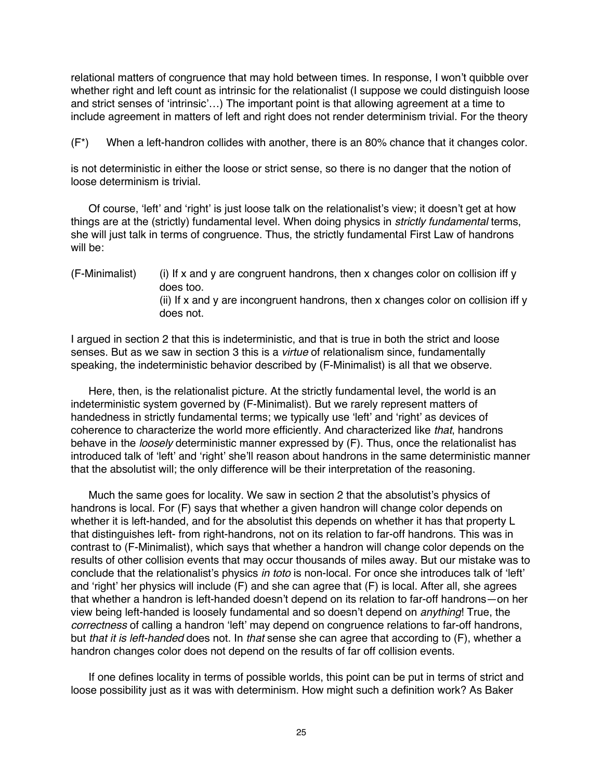relational matters of congruence that may hold between times. In response, I won't quibble over whether right and left count as intrinsic for the relationalist (I suppose we could distinguish loose and strict senses of 'intrinsic'…) The important point is that allowing agreement at a time to include agreement in matters of left and right does not render determinism trivial. For the theory

(F\*) When a left-handron collides with another, there is an 80% chance that it changes color.

is not deterministic in either the loose or strict sense, so there is no danger that the notion of loose determinism is trivial.

Of course, 'left' and 'right' is just loose talk on the relationalist's view; it doesn't get at how things are at the (strictly) fundamental level. When doing physics in *strictly fundamental* terms, she will just talk in terms of congruence. Thus, the strictly fundamental First Law of handrons will be:

 $(F\text{-}Minimalist)$  (i) If x and y are congruent handrons, then x changes color on collision iff y does too. (ii) If x and y are incongruent handrons, then x changes color on collision iff  $y$ does not.

I argued in section 2 that this is indeterministic, and that is true in both the strict and loose senses. But as we saw in section 3 this is a *virtue* of relationalism since, fundamentally speaking, the indeterministic behavior described by (F-Minimalist) is all that we observe.

Here, then, is the relationalist picture. At the strictly fundamental level, the world is an indeterministic system governed by (F-Minimalist). But we rarely represent matters of handedness in strictly fundamental terms; we typically use 'left' and 'right' as devices of coherence to characterize the world more efficiently. And characterized like *that*, handrons behave in the *loosely* deterministic manner expressed by (F). Thus, once the relationalist has introduced talk of 'left' and 'right' she'll reason about handrons in the same deterministic manner that the absolutist will; the only difference will be their interpretation of the reasoning.

Much the same goes for locality. We saw in section 2 that the absolutist's physics of handrons is local. For (F) says that whether a given handron will change color depends on whether it is left-handed, and for the absolutist this depends on whether it has that property L that distinguishes left- from right-handrons, not on its relation to far-off handrons. This was in contrast to (F-Minimalist), which says that whether a handron will change color depends on the results of other collision events that may occur thousands of miles away. But our mistake was to conclude that the relationalist's physics *in toto* is non-local. For once she introduces talk of 'left' and 'right' her physics will include (F) and she can agree that (F) is local. After all, she agrees that whether a handron is left-handed doesn't depend on its relation to far-off handrons—on her view being left-handed is loosely fundamental and so doesn't depend on *anything*! True, the *correctness* of calling a handron 'left' may depend on congruence relations to far-off handrons, but *that it is left-handed* does not. In *that* sense she can agree that according to (F), whether a handron changes color does not depend on the results of far off collision events.

If one defines locality in terms of possible worlds, this point can be put in terms of strict and loose possibility just as it was with determinism. How might such a definition work? As Baker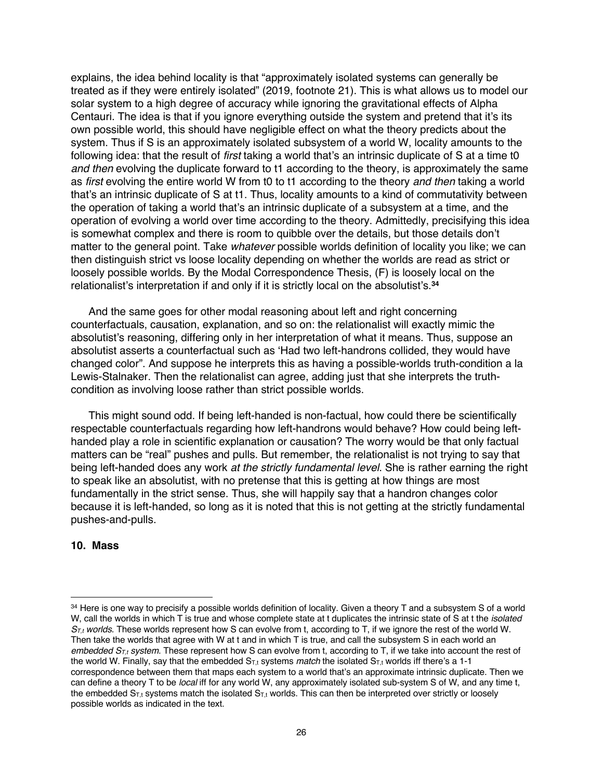explains, the idea behind locality is that "approximately isolated systems can generally be treated as if they were entirely isolated" (2019, footnote 21). This is what allows us to model our solar system to a high degree of accuracy while ignoring the gravitational effects of Alpha Centauri. The idea is that if you ignore everything outside the system and pretend that it's its own possible world, this should have negligible effect on what the theory predicts about the system. Thus if S is an approximately isolated subsystem of a world W, locality amounts to the following idea: that the result of *first* taking a world that's an intrinsic duplicate of S at a time t0 *and then* evolving the duplicate forward to t1 according to the theory, is approximately the same as *first* evolving the entire world W from t0 to t1 according to the theory *and then* taking a world that's an intrinsic duplicate of S at t1. Thus, locality amounts to a kind of commutativity between the operation of taking a world that's an intrinsic duplicate of a subsystem at a time, and the operation of evolving a world over time according to the theory. Admittedly, precisifying this idea is somewhat complex and there is room to quibble over the details, but those details don't matter to the general point. Take *whatever* possible worlds definition of locality you like; we can then distinguish strict vs loose locality depending on whether the worlds are read as strict or loosely possible worlds. By the Modal Correspondence Thesis, (F) is loosely local on the relationalist's interpretation if and only if it is strictly local on the absolutist's.**<sup>34</sup>**

And the same goes for other modal reasoning about left and right concerning counterfactuals, causation, explanation, and so on: the relationalist will exactly mimic the absolutist's reasoning, differing only in her interpretation of what it means. Thus, suppose an absolutist asserts a counterfactual such as 'Had two left-handrons collided, they would have changed color". And suppose he interprets this as having a possible-worlds truth-condition a la Lewis-Stalnaker. Then the relationalist can agree, adding just that she interprets the truthcondition as involving loose rather than strict possible worlds.

This might sound odd. If being left-handed is non-factual, how could there be scientifically respectable counterfactuals regarding how left-handrons would behave? How could being lefthanded play a role in scientific explanation or causation? The worry would be that only factual matters can be "real" pushes and pulls. But remember, the relationalist is not trying to say that being left-handed does any work *at the strictly fundamental level*. She is rather earning the right to speak like an absolutist, with no pretense that this is getting at how things are most fundamentally in the strict sense. Thus, she will happily say that a handron changes color because it is left-handed, so long as it is noted that this is not getting at the strictly fundamental pushes-and-pulls.

#### **10. Mass**

<sup>34</sup> Here is one way to precisify a possible worlds definition of locality. Given a theory T and a subsystem S of a world W, call the worlds in which T is true and whose complete state at t duplicates the intrinsic state of S at t the *isolated ST,t worlds*. These worlds represent how S can evolve from t, according to T, if we ignore the rest of the world W. Then take the worlds that agree with W at t and in which T is true, and call the subsystem S in each world an *embedded ST,t system*. These represent how S can evolve from t, according to T, if we take into account the rest of the world W. Finally, say that the embedded S<sub>T,t</sub> systems *match* the isolated S<sub>T,t</sub> worlds iff there's a 1-1 correspondence between them that maps each system to a world that's an approximate intrinsic duplicate. Then we can define a theory T to be *local* iff for any world W, any approximately isolated sub-system S of W, and any time t, the embedded  $S_{T,t}$  systems match the isolated  $S_{T,t}$  worlds. This can then be interpreted over strictly or loosely possible worlds as indicated in the text.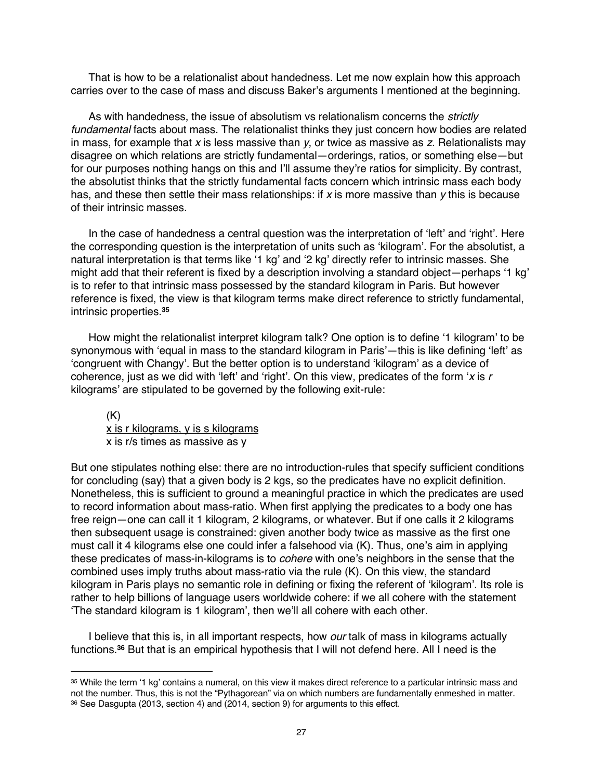That is how to be a relationalist about handedness. Let me now explain how this approach carries over to the case of mass and discuss Baker's arguments I mentioned at the beginning.

As with handedness, the issue of absolutism vs relationalism concerns the *strictly fundamental* facts about mass. The relationalist thinks they just concern how bodies are related in mass, for example that *x* is less massive than *y*, or twice as massive as *z*. Relationalists may disagree on which relations are strictly fundamental—orderings, ratios, or something else—but for our purposes nothing hangs on this and I'll assume they're ratios for simplicity. By contrast, the absolutist thinks that the strictly fundamental facts concern which intrinsic mass each body has, and these then settle their mass relationships: if *x* is more massive than *y* this is because of their intrinsic masses.

In the case of handedness a central question was the interpretation of 'left' and 'right'. Here the corresponding question is the interpretation of units such as 'kilogram'. For the absolutist, a natural interpretation is that terms like '1 kg' and '2 kg' directly refer to intrinsic masses. She might add that their referent is fixed by a description involving a standard object—perhaps '1 kg' is to refer to that intrinsic mass possessed by the standard kilogram in Paris. But however reference is fixed, the view is that kilogram terms make direct reference to strictly fundamental, intrinsic properties.**<sup>35</sup>**

How might the relationalist interpret kilogram talk? One option is to define '1 kilogram' to be synonymous with 'equal in mass to the standard kilogram in Paris'—this is like defining 'left' as 'congruent with Changy'. But the better option is to understand 'kilogram' as a device of coherence, just as we did with 'left' and 'right'. On this view, predicates of the form '*x* is *r* kilograms' are stipulated to be governed by the following exit-rule:

(K) x is r kilograms, y is s kilograms x is r/s times as massive as y

But one stipulates nothing else: there are no introduction-rules that specify sufficient conditions for concluding (say) that a given body is 2 kgs, so the predicates have no explicit definition. Nonetheless, this is sufficient to ground a meaningful practice in which the predicates are used to record information about mass-ratio. When first applying the predicates to a body one has free reign—one can call it 1 kilogram, 2 kilograms, or whatever. But if one calls it 2 kilograms then subsequent usage is constrained: given another body twice as massive as the first one must call it 4 kilograms else one could infer a falsehood via (K). Thus, one's aim in applying these predicates of mass-in-kilograms is to *cohere* with one's neighbors in the sense that the combined uses imply truths about mass-ratio via the rule (K). On this view, the standard kilogram in Paris plays no semantic role in defining or fixing the referent of 'kilogram'. Its role is rather to help billions of language users worldwide cohere: if we all cohere with the statement 'The standard kilogram is 1 kilogram', then we'll all cohere with each other.

I believe that this is, in all important respects, how *our* talk of mass in kilograms actually functions.**<sup>36</sup>** But that is an empirical hypothesis that I will not defend here. All I need is the

<sup>35</sup> While the term '1 kg' contains a numeral, on this view it makes direct reference to a particular intrinsic mass and not the number. Thus, this is not the "Pythagorean" via on which numbers are fundamentally enmeshed in matter. <sup>36</sup> See Dasgupta (2013, section 4) and (2014, section 9) for arguments to this effect.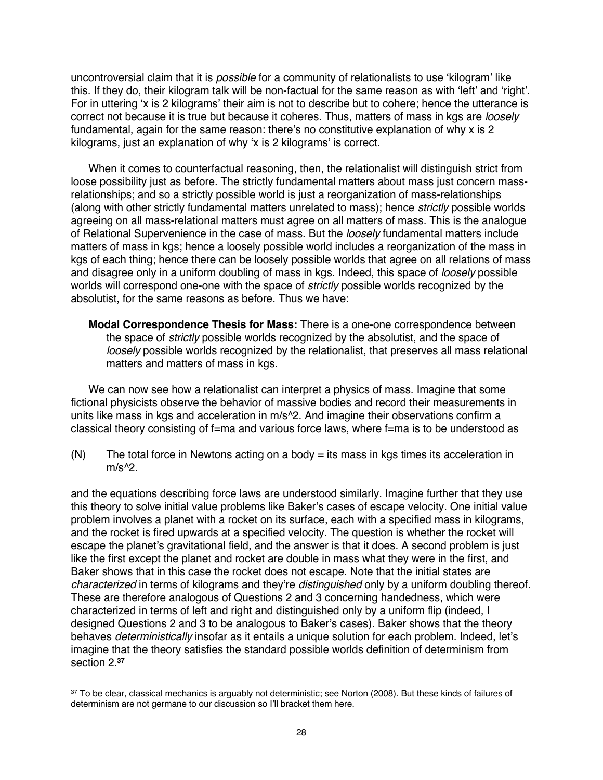uncontroversial claim that it is *possible* for a community of relationalists to use 'kilogram' like this. If they do, their kilogram talk will be non-factual for the same reason as with 'left' and 'right'. For in uttering 'x is 2 kilograms' their aim is not to describe but to cohere; hence the utterance is correct not because it is true but because it coheres. Thus, matters of mass in kgs are *loosely* fundamental, again for the same reason: there's no constitutive explanation of why x is 2 kilograms, just an explanation of why 'x is 2 kilograms' is correct.

When it comes to counterfactual reasoning, then, the relationalist will distinguish strict from loose possibility just as before. The strictly fundamental matters about mass just concern massrelationships; and so a strictly possible world is just a reorganization of mass-relationships (along with other strictly fundamental matters unrelated to mass); hence *strictly* possible worlds agreeing on all mass-relational matters must agree on all matters of mass. This is the analogue of Relational Supervenience in the case of mass. But the *loosely* fundamental matters include matters of mass in kgs; hence a loosely possible world includes a reorganization of the mass in kgs of each thing; hence there can be loosely possible worlds that agree on all relations of mass and disagree only in a uniform doubling of mass in kgs. Indeed, this space of *loosely* possible worlds will correspond one-one with the space of *strictly* possible worlds recognized by the absolutist, for the same reasons as before. Thus we have:

**Modal Correspondence Thesis for Mass:** There is a one-one correspondence between the space of *strictly* possible worlds recognized by the absolutist, and the space of *loosely* possible worlds recognized by the relationalist, that preserves all mass relational matters and matters of mass in kgs.

We can now see how a relationalist can interpret a physics of mass. Imagine that some fictional physicists observe the behavior of massive bodies and record their measurements in units like mass in kgs and acceleration in m/s^2. And imagine their observations confirm a classical theory consisting of f=ma and various force laws, where f=ma is to be understood as

(N) The total force in Newtons acting on a body = its mass in kgs times its acceleration in m/s^2.

and the equations describing force laws are understood similarly. Imagine further that they use this theory to solve initial value problems like Baker's cases of escape velocity. One initial value problem involves a planet with a rocket on its surface, each with a specified mass in kilograms, and the rocket is fired upwards at a specified velocity. The question is whether the rocket will escape the planet's gravitational field, and the answer is that it does. A second problem is just like the first except the planet and rocket are double in mass what they were in the first, and Baker shows that in this case the rocket does not escape. Note that the initial states are *characterized* in terms of kilograms and they're *distinguished* only by a uniform doubling thereof. These are therefore analogous of Questions 2 and 3 concerning handedness, which were characterized in terms of left and right and distinguished only by a uniform flip (indeed, I designed Questions 2 and 3 to be analogous to Baker's cases). Baker shows that the theory behaves *deterministically* insofar as it entails a unique solution for each problem. Indeed, let's imagine that the theory satisfies the standard possible worlds definition of determinism from section 2.**<sup>37</sup>**

<sup>37</sup> To be clear, classical mechanics is arguably not deterministic; see Norton (2008). But these kinds of failures of determinism are not germane to our discussion so I'll bracket them here.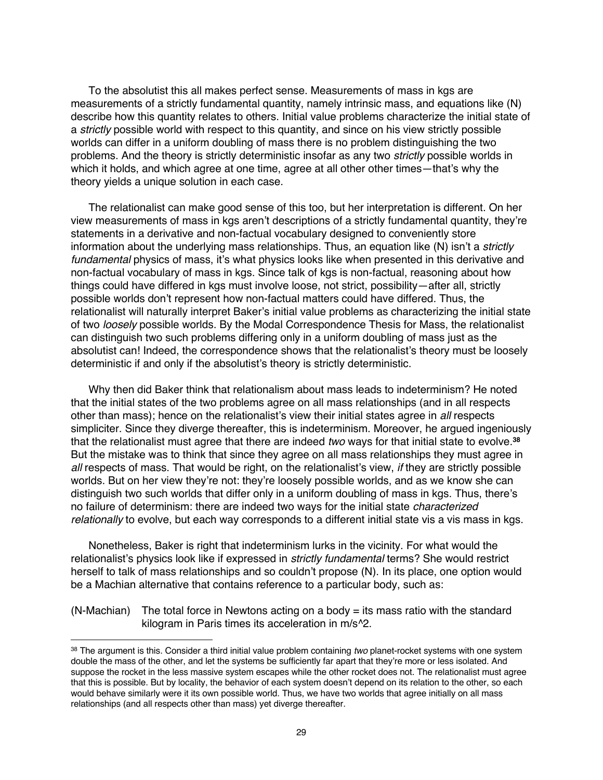To the absolutist this all makes perfect sense. Measurements of mass in kgs are measurements of a strictly fundamental quantity, namely intrinsic mass, and equations like (N) describe how this quantity relates to others. Initial value problems characterize the initial state of a *strictly* possible world with respect to this quantity, and since on his view strictly possible worlds can differ in a uniform doubling of mass there is no problem distinguishing the two problems. And the theory is strictly deterministic insofar as any two *strictly* possible worlds in which it holds, and which agree at one time, agree at all other other times—that's why the theory yields a unique solution in each case.

The relationalist can make good sense of this too, but her interpretation is different. On her view measurements of mass in kgs aren't descriptions of a strictly fundamental quantity, they're statements in a derivative and non-factual vocabulary designed to conveniently store information about the underlying mass relationships. Thus, an equation like (N) isn't a *strictly fundamental* physics of mass, it's what physics looks like when presented in this derivative and non-factual vocabulary of mass in kgs. Since talk of kgs is non-factual, reasoning about how things could have differed in kgs must involve loose, not strict, possibility—after all, strictly possible worlds don't represent how non-factual matters could have differed. Thus, the relationalist will naturally interpret Baker's initial value problems as characterizing the initial state of two *loosely* possible worlds. By the Modal Correspondence Thesis for Mass, the relationalist can distinguish two such problems differing only in a uniform doubling of mass just as the absolutist can! Indeed, the correspondence shows that the relationalist's theory must be loosely deterministic if and only if the absolutist's theory is strictly deterministic.

Why then did Baker think that relationalism about mass leads to indeterminism? He noted that the initial states of the two problems agree on all mass relationships (and in all respects other than mass); hence on the relationalist's view their initial states agree in *all* respects simpliciter. Since they diverge thereafter, this is indeterminism. Moreover, he argued ingeniously that the relationalist must agree that there are indeed *two* ways for that initial state to evolve.**<sup>38</sup>** But the mistake was to think that since they agree on all mass relationships they must agree in *all* respects of mass. That would be right, on the relationalist's view, *if* they are strictly possible worlds. But on her view they're not: they're loosely possible worlds, and as we know she can distinguish two such worlds that differ only in a uniform doubling of mass in kgs. Thus, there's no failure of determinism: there are indeed two ways for the initial state *characterized relationally* to evolve, but each way corresponds to a different initial state vis a vis mass in kgs.

Nonetheless, Baker is right that indeterminism lurks in the vicinity. For what would the relationalist's physics look like if expressed in *strictly fundamental* terms? She would restrict herself to talk of mass relationships and so couldn't propose (N). In its place, one option would be a Machian alternative that contains reference to a particular body, such as:

(N-Machian) The total force in Newtons acting on a body = its mass ratio with the standard kilogram in Paris times its acceleration in m/s^2.

<sup>38</sup> The argument is this. Consider a third initial value problem containing *two* planet-rocket systems with one system double the mass of the other, and let the systems be sufficiently far apart that they're more or less isolated. And suppose the rocket in the less massive system escapes while the other rocket does not. The relationalist must agree that this is possible. But by locality, the behavior of each system doesn't depend on its relation to the other, so each would behave similarly were it its own possible world. Thus, we have two worlds that agree initially on all mass relationships (and all respects other than mass) yet diverge thereafter.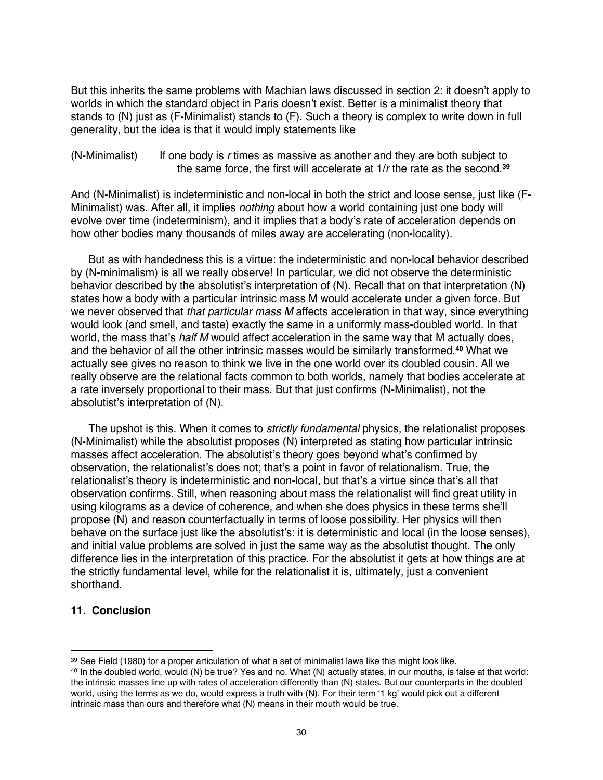But this inherits the same problems with Machian laws discussed in section 2: it doesn't apply to worlds in which the standard object in Paris doesn't exist. Better is a minimalist theory that stands to (N) just as (F-Minimalist) stands to (F). Such a theory is complex to write down in full generality, but the idea is that it would imply statements like

(N-Minimalist) If one body is *r* times as massive as another and they are both subject to the same force, the first will accelerate at 1/*r* the rate as the second.**<sup>39</sup>**

And (N-Minimalist) is indeterministic and non-local in both the strict and loose sense, just like (F-Minimalist) was. After all, it implies *nothing* about how a world containing just one body will evolve over time (indeterminism), and it implies that a body's rate of acceleration depends on how other bodies many thousands of miles away are accelerating (non-locality).

But as with handedness this is a virtue: the indeterministic and non-local behavior described by (N-minimalism) is all we really observe! In particular, we did not observe the deterministic behavior described by the absolutist's interpretation of (N). Recall that on that interpretation (N) states how a body with a particular intrinsic mass M would accelerate under a given force. But we never observed that *that particular mass M* affects acceleration in that way, since everything would look (and smell, and taste) exactly the same in a uniformly mass-doubled world. In that world, the mass that's *half M* would affect acceleration in the same way that M actually does, and the behavior of all the other intrinsic masses would be similarly transformed.**<sup>40</sup>** What we actually see gives no reason to think we live in the one world over its doubled cousin. All we really observe are the relational facts common to both worlds, namely that bodies accelerate at a rate inversely proportional to their mass. But that just confirms (N-Minimalist), not the absolutist's interpretation of (N).

The upshot is this. When it comes to *strictly fundamental* physics, the relationalist proposes (N-Minimalist) while the absolutist proposes (N) interpreted as stating how particular intrinsic masses affect acceleration. The absolutist's theory goes beyond what's confirmed by observation, the relationalist's does not; that's a point in favor of relationalism. True, the relationalist's theory is indeterministic and non-local, but that's a virtue since that's all that observation confirms. Still, when reasoning about mass the relationalist will find great utility in using kilograms as a device of coherence, and when she does physics in these terms she'll propose (N) and reason counterfactually in terms of loose possibility. Her physics will then behave on the surface just like the absolutist's: it is deterministic and local (in the loose senses), and initial value problems are solved in just the same way as the absolutist thought. The only difference lies in the interpretation of this practice. For the absolutist it gets at how things are at the strictly fundamental level, while for the relationalist it is, ultimately, just a convenient shorthand.

## **11. Conclusion**

<sup>39</sup> See Field (1980) for a proper articulation of what a set of minimalist laws like this might look like.

<sup>&</sup>lt;sup>40</sup> In the doubled world, would (N) be true? Yes and no. What (N) actually states, in our mouths, is false at that world: the intrinsic masses line up with rates of acceleration differently than (N) states. But our counterparts in the doubled world, using the terms as we do, would express a truth with (N). For their term '1 kg' would pick out a different intrinsic mass than ours and therefore what (N) means in their mouth would be true.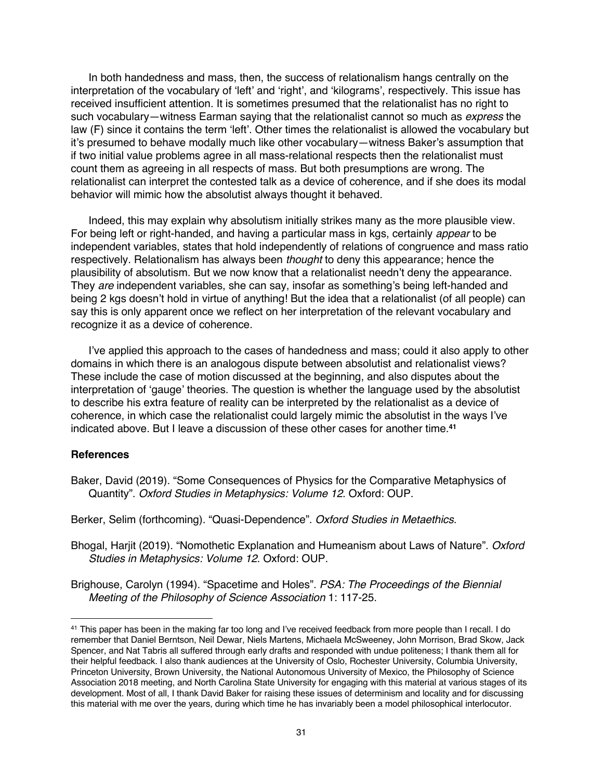In both handedness and mass, then, the success of relationalism hangs centrally on the interpretation of the vocabulary of 'left' and 'right', and 'kilograms', respectively. This issue has received insufficient attention. It is sometimes presumed that the relationalist has no right to such vocabulary—witness Earman saying that the relationalist cannot so much as *express* the law (F) since it contains the term 'left'. Other times the relationalist is allowed the vocabulary but it's presumed to behave modally much like other vocabulary—witness Baker's assumption that if two initial value problems agree in all mass-relational respects then the relationalist must count them as agreeing in all respects of mass. But both presumptions are wrong. The relationalist can interpret the contested talk as a device of coherence, and if she does its modal behavior will mimic how the absolutist always thought it behaved.

Indeed, this may explain why absolutism initially strikes many as the more plausible view. For being left or right-handed, and having a particular mass in kgs, certainly *appear* to be independent variables, states that hold independently of relations of congruence and mass ratio respectively. Relationalism has always been *thought* to deny this appearance; hence the plausibility of absolutism. But we now know that a relationalist needn't deny the appearance. They *are* independent variables, she can say, insofar as something's being left-handed and being 2 kgs doesn't hold in virtue of anything! But the idea that a relationalist (of all people) can say this is only apparent once we reflect on her interpretation of the relevant vocabulary and recognize it as a device of coherence.

I've applied this approach to the cases of handedness and mass; could it also apply to other domains in which there is an analogous dispute between absolutist and relationalist views? These include the case of motion discussed at the beginning, and also disputes about the interpretation of 'gauge' theories. The question is whether the language used by the absolutist to describe his extra feature of reality can be interpreted by the relationalist as a device of coherence, in which case the relationalist could largely mimic the absolutist in the ways I've indicated above. But I leave a discussion of these other cases for another time.**<sup>41</sup>**

#### **References**

Baker, David (2019). "Some Consequences of Physics for the Comparative Metaphysics of Quantity". *Oxford Studies in Metaphysics: Volume 12*. Oxford: OUP.

Berker, Selim (forthcoming). "Quasi-Dependence". *Oxford Studies in Metaethics*.

Bhogal, Harjit (2019). "Nomothetic Explanation and Humeanism about Laws of Nature". *Oxford Studies in Metaphysics: Volume 12*. Oxford: OUP.

Brighouse, Carolyn (1994). "Spacetime and Holes". *PSA: The Proceedings of the Biennial Meeting of the Philosophy of Science Association* 1: 117-25.

<sup>41</sup> This paper has been in the making far too long and I've received feedback from more people than I recall. I do remember that Daniel Berntson, Neil Dewar, Niels Martens, Michaela McSweeney, John Morrison, Brad Skow, Jack Spencer, and Nat Tabris all suffered through early drafts and responded with undue politeness; I thank them all for their helpful feedback. I also thank audiences at the University of Oslo, Rochester University, Columbia University, Princeton University, Brown University, the National Autonomous University of Mexico, the Philosophy of Science Association 2018 meeting, and North Carolina State University for engaging with this material at various stages of its development. Most of all, I thank David Baker for raising these issues of determinism and locality and for discussing this material with me over the years, during which time he has invariably been a model philosophical interlocutor.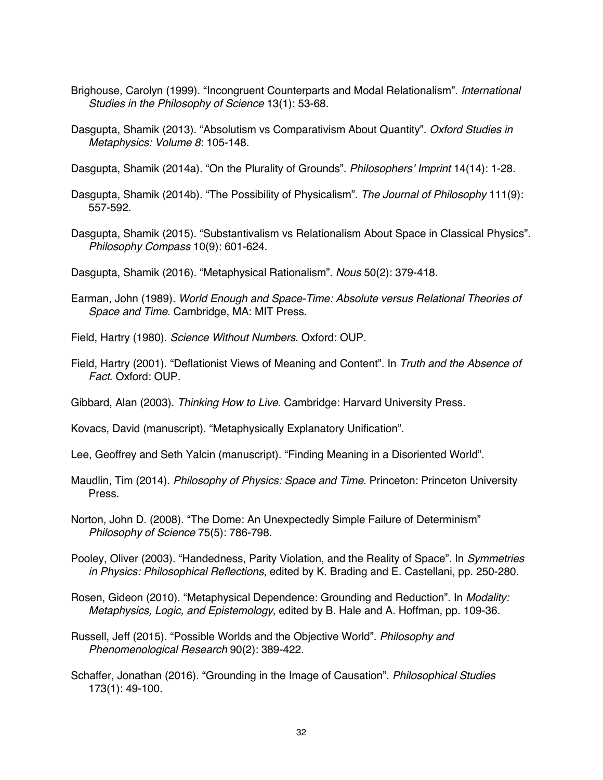- Brighouse, Carolyn (1999). "Incongruent Counterparts and Modal Relationalism". *International Studies in the Philosophy of Science* 13(1): 53-68.
- Dasgupta, Shamik (2013). "Absolutism vs Comparativism About Quantity". *Oxford Studies in Metaphysics: Volume 8*: 105-148.

Dasgupta, Shamik (2014a). "On the Plurality of Grounds". *Philosophers' Imprint* 14(14): 1-28.

- Dasgupta, Shamik (2014b). "The Possibility of Physicalism". *The Journal of Philosophy* 111(9): 557-592.
- Dasgupta, Shamik (2015). "Substantivalism vs Relationalism About Space in Classical Physics". *Philosophy Compass* 10(9): 601-624.

Dasgupta, Shamik (2016). "Metaphysical Rationalism". *Nous* 50(2): 379-418.

Earman, John (1989). *World Enough and Space-Time: Absolute versus Relational Theories of Space and Time*. Cambridge, MA: MIT Press.

Field, Hartry (1980). *Science Without Numbers*. Oxford: OUP.

Field, Hartry (2001). "Deflationist Views of Meaning and Content". In *Truth and the Absence of Fact*. Oxford: OUP.

Gibbard, Alan (2003). *Thinking How to Live*. Cambridge: Harvard University Press.

Kovacs, David (manuscript). "Metaphysically Explanatory Unification".

Lee, Geoffrey and Seth Yalcin (manuscript). "Finding Meaning in a Disoriented World".

- Maudlin, Tim (2014). *Philosophy of Physics: Space and Time*. Princeton: Princeton University Press.
- Norton, John D. (2008). "The Dome: An Unexpectedly Simple Failure of Determinism" *Philosophy of Science* 75(5): 786-798.

Pooley, Oliver (2003). "Handedness, Parity Violation, and the Reality of Space". In *Symmetries in Physics: Philosophical Reflections*, edited by K. Brading and E. Castellani, pp. 250-280.

- Rosen, Gideon (2010). "Metaphysical Dependence: Grounding and Reduction". In *Modality: Metaphysics, Logic, and Epistemology*, edited by B. Hale and A. Hoffman, pp. 109-36.
- Russell, Jeff (2015). "Possible Worlds and the Objective World". *Philosophy and Phenomenological Research* 90(2): 389-422.
- Schaffer, Jonathan (2016). "Grounding in the Image of Causation". *Philosophical Studies* 173(1): 49-100.